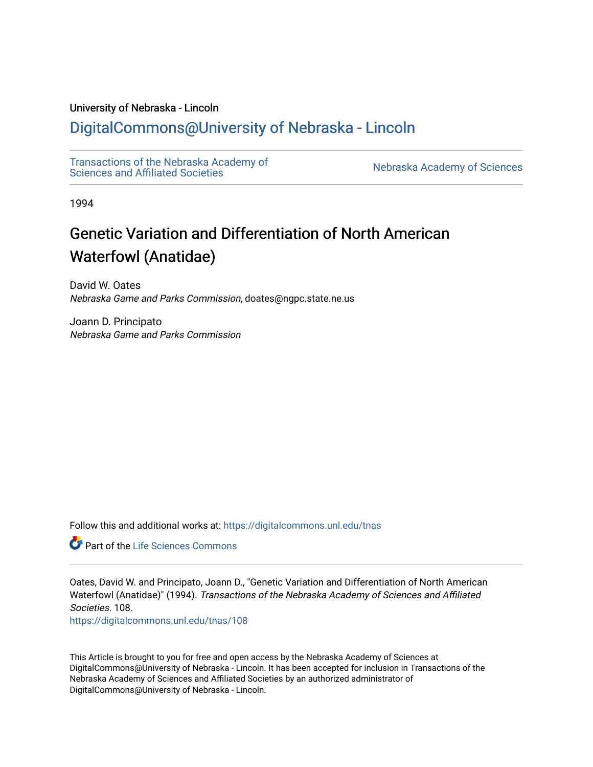# University of Nebraska - Lincoln

# [DigitalCommons@University of Nebraska - Lincoln](https://digitalcommons.unl.edu/)

[Transactions of the Nebraska Academy of](https://digitalcommons.unl.edu/tnas)  Transactions of the Nebraska Academy of Sciences<br>Sciences and Affiliated Societies

1994

# Genetic Variation and Differentiation of North American Waterfowl (Anatidae)

David W. Oates Nebraska Game and Parks Commission, doates@ngpc.state.ne.us

Joann D. Principato Nebraska Game and Parks Commission

Follow this and additional works at: [https://digitalcommons.unl.edu/tnas](https://digitalcommons.unl.edu/tnas?utm_source=digitalcommons.unl.edu%2Ftnas%2F108&utm_medium=PDF&utm_campaign=PDFCoverPages) 

Part of the [Life Sciences Commons](http://network.bepress.com/hgg/discipline/1016?utm_source=digitalcommons.unl.edu%2Ftnas%2F108&utm_medium=PDF&utm_campaign=PDFCoverPages) 

Oates, David W. and Principato, Joann D., "Genetic Variation and Differentiation of North American Waterfowl (Anatidae)" (1994). Transactions of the Nebraska Academy of Sciences and Affiliated Societies. 108. [https://digitalcommons.unl.edu/tnas/108](https://digitalcommons.unl.edu/tnas/108?utm_source=digitalcommons.unl.edu%2Ftnas%2F108&utm_medium=PDF&utm_campaign=PDFCoverPages) 

This Article is brought to you for free and open access by the Nebraska Academy of Sciences at DigitalCommons@University of Nebraska - Lincoln. It has been accepted for inclusion in Transactions of the Nebraska Academy of Sciences and Affiliated Societies by an authorized administrator of DigitalCommons@University of Nebraska - Lincoln.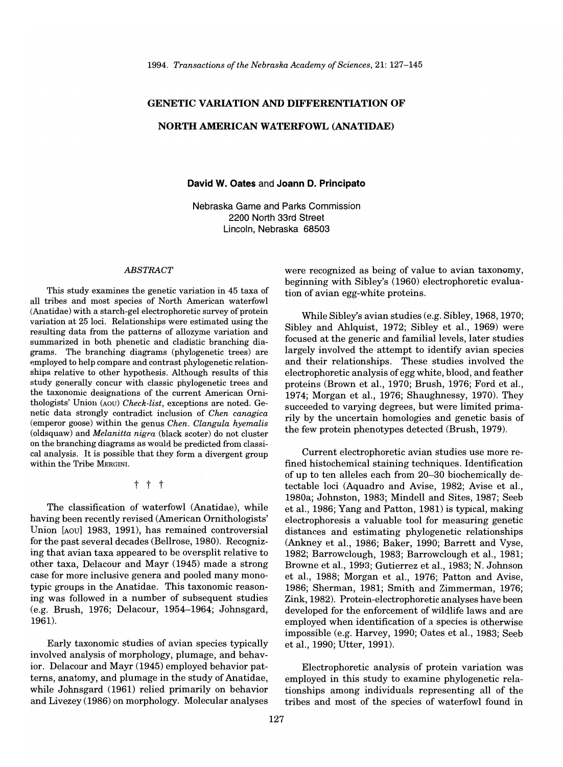### **GENETIC VARIATION AND DIFFERENTIATION OF**

# **NORTH AMERICAN WATERFOWL (ANATIDAE)**

### **David W. Oates** and **Joann D. Principato**

Nebraska Game and Parks Commission 2200 North 33rd Street Lincoln, Nebraska 68503

### *ABSTRACT*

This study examines the genetic variation in 45 taxa of all tribes and most species of North American waterfowl (Anatidae) with a starch-gel electrophoretic survey of protein variation at 25 loci. Relationships were estimated using the resulting data from the patterns of allozyme variation and summarized in both phenetic and cladistic branching diagrams. The branching diagrams (phylogenetic trees) are employed to help compare and contrast phylogenetic relationships relative to other hypothesis. Although results of this study generally concur with classic phylogenetic trees and the taxonomic designations of the current American Ornithologists' Union (AOU) *Check-list,* exceptions are noted. Genetic data strongly contradict inclusion of *Chen canagica*  (emperor goose) within the genus *Chen. Clangula hyemalis*  (oldsquaw) and *Melanitta nigra* (black scoter) do not cluster on the branching diagrams as would be predicted from classical analysis. It is possible that they form a divergent group within the Tribe MERGINI.

t t t

The classification of waterfowl (Anatidae), while having been recently revised (American Ornithologists' Union [AOU] 1983, 1991), has remained controversial for the past several decades (Bellrose, 1980). Recognizing that avian taxa appeared to be oversplit relative to other taxa, Delacour and Mayr (1945) made a strong case for more inclusive genera and pooled many monotypic groups in the Anatidae. This taxonomic reasoning was followed in a number of subsequent studies (e.g. Brush, 1976; Delacour, 1954-1964; Johnsgard, 1961).

Early taxonomic studies of avian species typically involved analysis of morphology, plumage, and behavior. Delacour and Mayr (1945) employed behavior patterns, anatomy, and plumage in the study of Anatidae, while Johnsgard (1961) relied primarily on behavior and Livezey (1986) on morphology. Molecular analyses

were recognized as being of value to avian taxonomy, beginning with Sibley's (1960) electrophoretic evaluation of avian egg-white proteins.

While Sibley's avian studies (e.g. Sibley, 1968, 1970; Sibley and Ahlquist, 1972; Sibley et aI., 1969) were focused at the generic and familial levels, later studies largely involved the attempt to identify avian species and their relationships. These studies involved the electrophoretic analysis of egg white, blood, and feather proteins (Brown et aI., 1970; Brush, 1976; Ford et aI., 1974; Morgan et aI., 1976; Shaughnessy, 1970). They succeeded to varying degrees, but were limited primarily by the uncertain homologies and genetic basis of the few protein phenotypes detected (Brush, 1979).

Current electrophoretic avian studies use more refined histochemical staining techniques. Identification of up to ten alleles each from 20-30 biochemically detectable loci (Aquadro and Avise, 1982; Avise et aI., 1980a; Johnston, 1983; Mindell and Sites, 1987; Seeb et aI., 1986; Yang and Patton, 1981) is typical, making electrophoresis a valuable tool for measuring genetic distances and estimating phylogenetic relationships (Ankney et aI., 1986; Baker, 1990; Barrett and Vyse, 1982; Barrowclough, 1983; Barrowclough et aI., 1981; Browne et aI., 1993; Gutierrez et aI., 1983; N. Johnson et aI., 1988; Morgan et aI., 1976; Patton and Avise, 1986; Sherman, 1981; Smith and Zimmerman, 1976; Zink, 1982). Protein-electrophoretic analyses have been developed for the enforcement of wildlife laws and are employed when identification of a species is otherwise impossible (e.g. Harvey, 1990; Oates et aI., 1983; Seeb et aI., 1990; Utter, 1991).

Electrophoretic analysis of protein variation was employed in this study to examine phylogenetic relationships among individuals representing all of the tribes and most of the species of waterfowl found in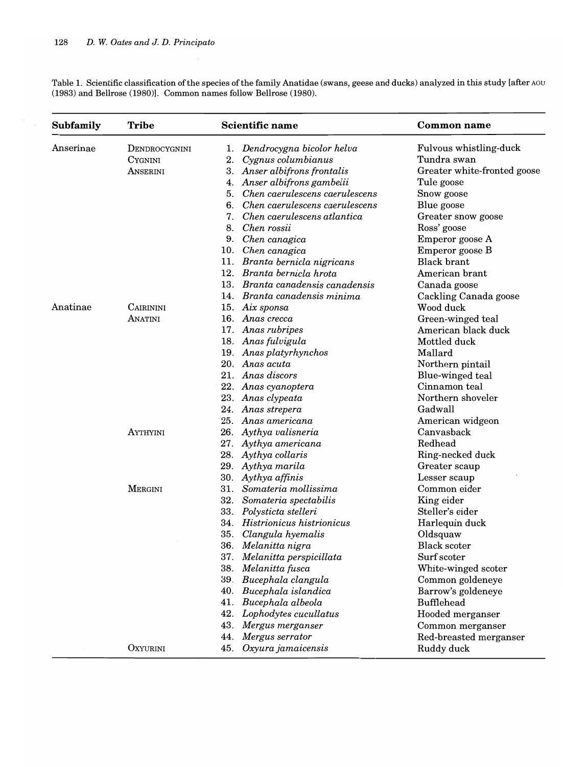Table 1. Scientific classification of the species ofthe family Anatidae (swans, geese and ducks) analyzed in this study [after AOU (1983) and Bellrose (1980)]. Common names follow Bellrose (1980).

| Subfamily | <b>Tribe</b>   | <b>Scientific name</b>                 | Common name                       |
|-----------|----------------|----------------------------------------|-----------------------------------|
| Anserinae | DENDROCYGNINI  | Dendrocygna bicolor helva<br>ı.        | Fulvous whistling-duck            |
|           | <b>CYGNINI</b> | 2.<br>Cygnus columbianus               | Tundra swan                       |
|           | ANSERINI       | Anser albifrons frontalis<br>3.        | Greater white-fronted goose       |
|           |                | Anser albifrons gambelii<br>4.         | Tule goose                        |
|           |                | Chen caerulescens caerulescens<br>5.   | Snow goose                        |
|           |                | Chen caerulescens caerulescens<br>6.   | Blue goose                        |
|           |                | 7.<br>Chen caerulescens atlantica      | Greater snow goose                |
|           |                | 8.<br>Chen rossii                      | Ross' goose                       |
|           |                | 9.<br>Chen canagica                    | Emperor goose A                   |
|           |                | 10. Chen canagica                      | Emperor goose B                   |
|           |                | Branta bernicla nigricans<br>11.       | Black brant                       |
|           |                | 12.<br>Branta bernicla hrota           | American brant                    |
|           |                | 13.<br>Branta canadensis canadensis    | Canada goose                      |
|           |                | 14.<br>Branta canadensis minima        | Cackling Canada goose             |
| Anatinae  | CAIRININI      | Aix sponsa<br>15.                      | Wood duck                         |
|           | ANATINI        | 16.<br>Anas crecca                     | Green-winged teal                 |
|           |                | 17.<br>Anas rubripes                   | American black duck               |
|           |                | 18. Anas fulvigula                     | Mottled duck                      |
|           |                | 19. Anas platyrhynchos                 | Mallard                           |
|           |                | 20.<br>Anas acuta<br>21.               | Northern pintail                  |
|           |                | Anas discors                           | Blue-winged teal<br>Cinnamon teal |
|           |                | 22.<br>Anas cyanoptera<br>23.          | Northern shoveler                 |
|           |                | Anas clypeata<br>24.                   | Gadwall                           |
|           |                | Anas strepera<br>25.<br>Anas americana | American widgeon                  |
|           | AYTHYINI       | 26.<br>Aythya valisneria               | Canvasback                        |
|           |                | 27.<br>Aythya americana                | Redhead                           |
|           |                | 28.<br>Aythya collaris                 | Ring-necked duck                  |
|           |                | 29.<br>Aythya marila                   | Greater scaup                     |
|           |                | 30.<br>Aythya affinis                  | Lesser scaup                      |
|           | <b>MERGINI</b> | 31.<br>Somateria mollissima            | Common eider                      |
|           |                | 32.<br>Somateria spectabilis           | King eider                        |
|           |                | 33.<br>Polysticta stelleri             | Steller's eider                   |
|           |                | Histrionicus histrionicus<br>34.       | Harlequin duck                    |
|           |                | 35. Clangula hyemalis                  | Oldsquaw                          |
|           |                | 36.<br>Melanitta nigra                 | Black scoter                      |
|           |                | 37.<br>Melanitta perspicillata         | Surf scoter                       |
|           |                | 38.<br>Melanitta fusca                 | White-winged scoter               |
|           |                | 39.<br>Bucephala clangula              | Common goldeneye                  |
|           |                | 40.<br>Bucephala islandica             | Barrow's goldeneye                |
|           |                | 41.<br>Bucephala albeola               | <b>Bufflehead</b>                 |
|           |                | 42.<br>Lophodytes cucullatus           | Hooded merganser                  |
|           |                | 43.<br>Mergus merganser                | Common merganser                  |
|           |                | Mergus serrator<br>44.                 | Red-breasted merganser            |
|           | OXYURINI       | Oxyura jamaicensis<br>45.              | Ruddy duck                        |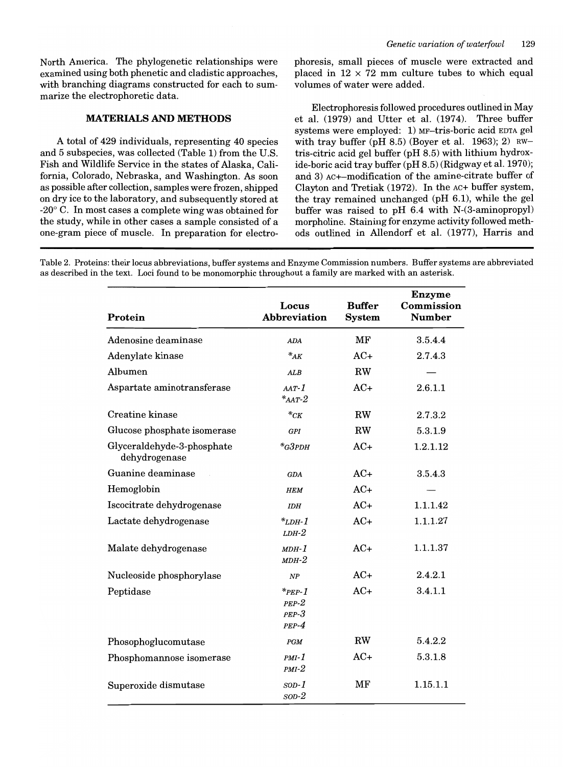North America. The phylogenetic relationships were examined using both phenetic and cladistic approaches, with branching diagrams constructed for each to summarize the electrophoretic data.

# MATERIALS AND METHODS

A total of 429 individuals, representing 40 species and 5 subspecies, was collected (Table 1) from the U.S. Fish and Wildlife Service in the states of Alaska, California, Colorado, Nebraska, and Washington. As soon as possible after collection, samples were frozen, shipped on dry ice to the laboratory, and subsequently stored at -20 $^{\circ}$  C. In most cases a complete wing was obtained for the study, while in other cases a sample consisted of a one-gram piece of muscle. In preparation for electrophoresis, small pieces of muscle were extracted and placed in  $12 \times 72$  mm culture tubes to which equal volumes of water were added.

Electrophoresis followed procedures outlined in May et al. (1979) and Utter et al. (1974). Three buffer systems were employed: 1) MF-tris-boric acid EDTA gel with tray buffer (pH 8.5) (Boyer et al. 1963); 2)  $nw$ tris-citric acid gel buffer (pH 8.5) with lithium hydroxide-boric acid tray buffer (pH 8.5) (Ridgway et al. 1970); and 3) Ac+-modification of the amine-citrate buffer of Clayton and Tretiak (1972). In the AC+ buffer system, the tray remained unchanged (pH 6.1), while the gel buffer was raised to pH 6.4 with N-(3-aminopropyl) morpholine. Staining for enzyme activity followed methods outlined in Allendorf et al. (1977), Harris and

Table 2. Proteins: their locus abbreviations, buffer systems and Enzyme Commission numbers. Buffer systems are abbreviated as described in the text. Loci found to be monomorphic throughout a family are marked with an asterisk.

| Protein                                     | Locus<br><b>Abbreviation</b>                 | <b>Buffer</b><br><b>System</b> | <b>Enzyme</b><br>Commission<br><b>Number</b> |
|---------------------------------------------|----------------------------------------------|--------------------------------|----------------------------------------------|
| Adenosine deaminase                         | <b>ADA</b>                                   | MF                             | 3.5.4.4                                      |
| Adenylate kinase                            | $*_{AK}$                                     | $AC+$                          | 2.7.4.3                                      |
| Albumen                                     | ALB                                          | <b>RW</b>                      |                                              |
| Aspartate aminotransferase                  | $AAT-1$<br>$*_{AAT-2}$                       | $AC+$                          | 2.6.1.1                                      |
| <b>Creatine kinase</b>                      | ${}^{\ast}C\overline{K}$                     | ${\rm RW}$                     | 2.7.3.2                                      |
| Glucose phosphate isomerase                 | <b>GPI</b>                                   | RW                             | 5.3.1.9                                      |
| Glyceraldehyde-3-phosphate<br>dehydrogenase | $*G3$ PDH                                    | $AC+$                          | 1.2.1.12                                     |
| Guanine deaminase                           | <b>GDA</b>                                   | $AC+$                          | 3.5.4.3                                      |
| Hemoglobin                                  | <b>HEM</b>                                   | $AC+$                          |                                              |
| Iscocitrate dehydrogenase                   | <b>IDH</b>                                   | $AC+$                          | 1.1.1.42                                     |
| Lactate dehydrogenase                       | $*_{LDH-1}$<br>$LDH-2$                       | $AC+$                          | 1.1.1.27                                     |
| Malate dehydrogenase                        | $MDH-1$<br>$MDH-2$                           | $AC+$                          | 1.1.1.37                                     |
| Nucleoside phosphorylase                    | NP                                           | $AC+$                          | 2.4.2.1                                      |
| Peptidase                                   | $*_{PEP-1}$<br>$PEP-2$<br>$PEP-3$<br>$PEP-4$ | $AC+$                          | 3.4.1.1                                      |
| Phosophoglucomutase                         | PGM                                          | <b>RW</b>                      | 5.4.2.2                                      |
| Phosphomannose isomerase                    | <i>PMI-1</i><br>$PMI-2$                      | $AC+$                          | 5.3.1.8                                      |
| Superoxide dismutase                        | $SOD-1$<br>sop-2                             | MF                             | 1.15.1.1                                     |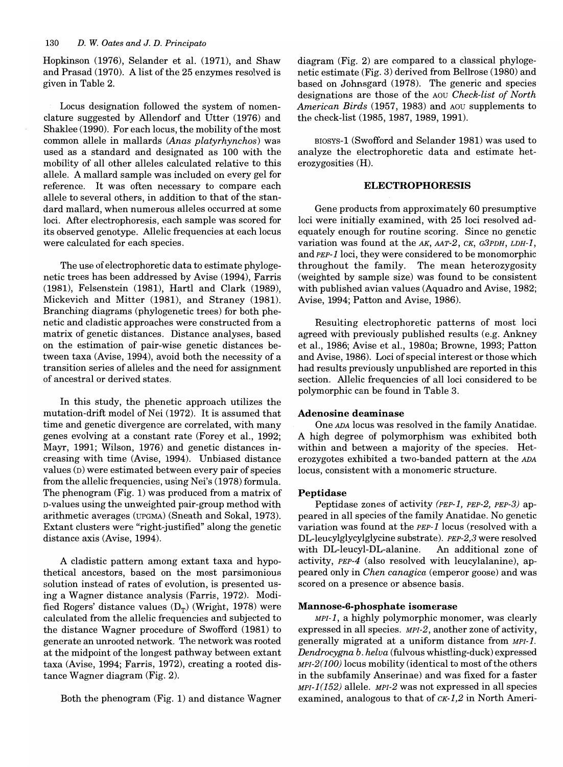Hopkinson (1976), Selander et aI. (1971), and Shaw and Prasad (1970). A list of the 25 enzymes resolved is given in Table 2.

Locus designation followed the system of nomenclature suggested by Allendorf and Utter (1976) and Shaklee (1990). For each locus, the mobility of the most common allele in mallards *(Anas platyrhynchos)* was used as a standard and designated as 100 with the mobility of all other alleles calculated relative to this allele. A mallard sample was included on every gel for reference. It was often necessary to compare each allele to several others, in addition to that of the standard mallard, when numerous alleles occurred at some loci. Mter electrophoresis, each sample was scored for its observed genotype. Allelic frequencies at each locus were calculated for each species.

The use of electrophoretic data to estimate phylogenetic trees has been addressed by Avise (1994), Farris (1981), Felsenstein (1981), Hartl and Clark (1989), Mickevich and Mitter (1981), and Straney (1981). Branching diagrams (phylogenetic trees) for both phenetic and cladistic approaches were constructed from a matrix of genetic distances. Distance analyses, based on the estimation of pair-wise genetic distances between taxa (Avise, 1994), avoid both the necessity of a transition series of alleles and the need for assignment of ancestral or derived states.

**In** this study, the phenetic approach utilizes the mutation-drift model of Nei (1972). It is assumed that time and genetic divergence are correlated, with many genes evolving at a constant rate (Forey et aI., 1992; Mayr, 1991; Wilson, 1976) and genetic distances increasing with time (Avise, 1994). Unbiased distance values (D) were estimated between every pair of species from the allelic frequencies, using Nei's (1978) formula. The phenogram (Fig. 1) was produced from a matrix of D-values using the unweighted pair-group method with arithmetic averages (UPGMA) (Sneath and Sokal, 1973). Extant clusters were "right-justified" along the genetic distance axis (Avise, 1994).

A cladistic pattern among extant taxa and hypothetical ancestors, based on the most parsimonious solution instead of rates of evolution, is presented using a Wagner distance analysis (Farris, 1972). Modified Rogers' distance values  $(D_T)$  (Wright, 1978) were calculated from the allelic frequencies and subjected to the distance Wagner procedure of Swofford (1981) to generate an unrooted network. The network was rooted at the midpoint of the longest pathway between extant taxa (Avise, 1994; Farris, 1972), creating a rooted distance Wagner diagram (Fig. 2).

Both the phenogram (Fig. 1) and distance Wagner

diagram (Fig. 2) are compared to a classical phylogenetic estimate (Fig. 3) derived from Bellrose (1980) and based on Johnsgard (1978). The generic and species designations are those of the AOU *Check-list of North American Birds* (1957, 1983) and AOU supplements to the check-list (1985, 1987, 1989, 1991).

BIOSys-1 (Swofford and Selander 1981) was used to analyze the electrophoretic data and estimate heterozygosities (H).

## **ELECTROPHORESIS**

Gene products from approximately 60 presumptive loci were initially examined, with 25 loci resolved adequately enough for routine scoring. Since no genetic variation was found at the  $AK$ ,  $AAT-2$ ,  $CK$ ,  $G3PDH$ ,  $LDH-1$ , and PEP-1 loci, they were considered to be monomorphic throughout the family. The mean heterozygosity (weighted by sample size) was found to be consistent with published avian values (Aquadro and Avise, 1982; Avise, 1994; Patton and Avise, 1986).

Resulting electrophoretic patterns of most loci agreed with previously published results (e.g. Ankney et aI., 1986; Avise et aI., 1980a; Browne, 1993; Patton and Avise, 1986). Loci of special interest or those which had results previously unpublished are reported in this section. Allelic frequencies of all loci considered to be polymorphic can be found in Table 3.

### **Adenosine deaminase**

One ADA locus was resolved in the family Anatidae. A high degree of polymorphism was exhibited both within and between a majority of the species. Heterozygotes exhibited a two-banded pattern at the ADA locus, consistent with a monomeric structure.

## **Peptidase**

Peptidase zones of activity (PEP-1, PEP-2, PEP-3) appeared in all species of the family Anatidae. No genetic variation was found at the PEP-1 locus (resolved with a DL-leucylglycylglycine substrate). PEP-2,3 were resolved with DL-Ieucyl-DL-alanine. An additional zone of activity, PEP-4 (also resolved with leucylalanine), appeared only in *Chen canagica* (emperor goose) and was scored on a presence or absence basis.

### **Mannose-6-phosphate isomerase**

MPI-l, a highly polymorphic monomer, was clearly expressed in all species. MPI-2, another zone of activity, generally migrated at a uniform distance from MPI-l. *Dendrocygna b. helva* (fulvous whistling-duck) expressed  $MPI-2(100)$  locus mobility (identical to most of the others in the subfamily Anserinae) and was fixed for a faster  $MPI-1(152)$  allele.  $MPI-2$  was not expressed in all species examined, analogous to that of  $CK-1,2$  in North Ameri-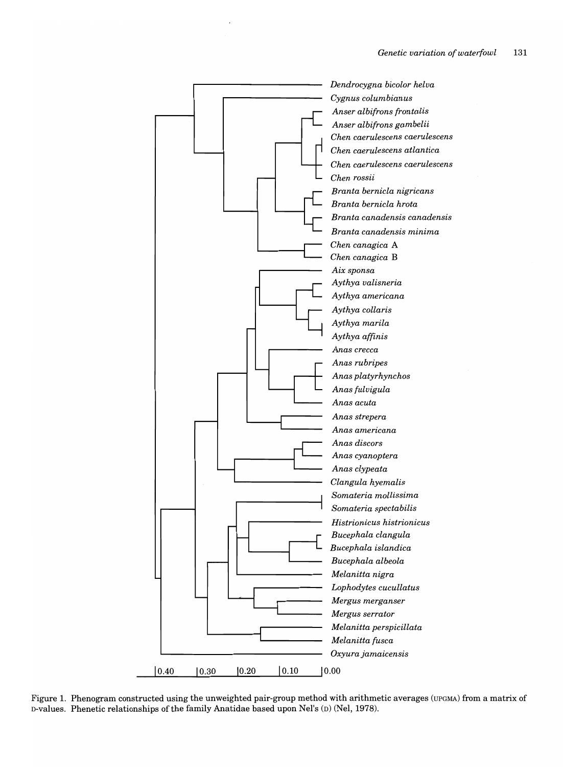

Figure 1. Phenogram constructed using the unweighted pair-group method with arithmetic averages (UPGMA) from a matrix of D-values. Phenetic relationships of the family Anatidae based upon Nel's (D) (Nel, 1978).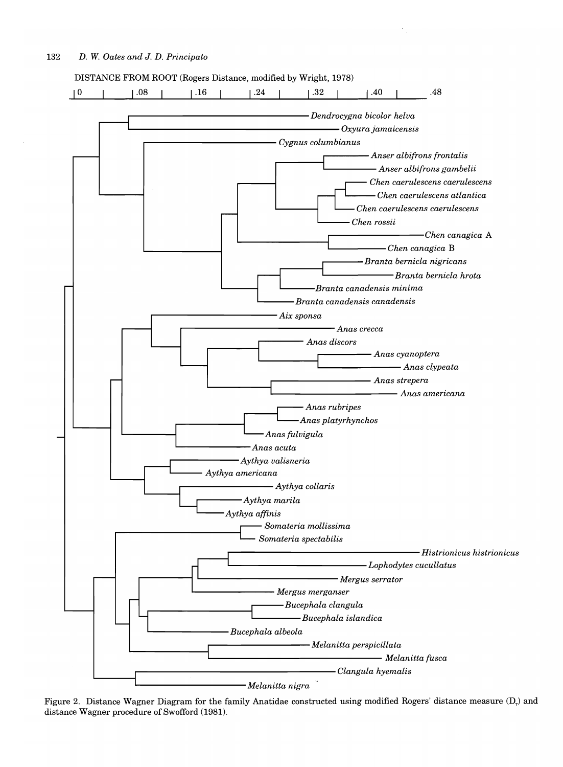

Figure 2. Distance Wagner Diagram for the family Anatidae constructed using modified Rogers' distance measure  $(D<sub>r</sub>)$  and distance Wagner procedure of Swofford (1981).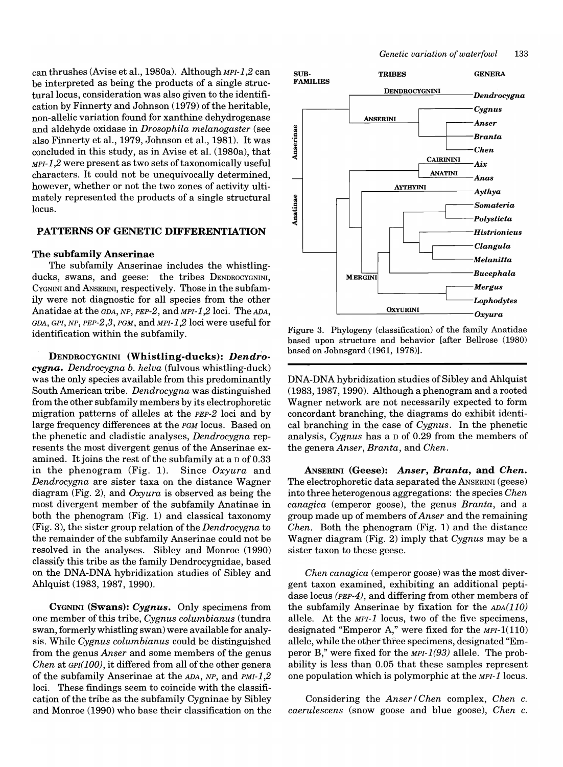can thrushes (Avise et al., 1980a). Although MPI-1,2 can be interpreted as being the products of a single structural locus, consideration was also given to the identification by Finnerty and Johnson (1979) of the heritable, non-allelic variation found for xanthine dehydrogenase and aldehyde oxidase in *Drosophila melanogaster* (see also Finnerty et aI., 1979, Johnson et aI., 1981). It was concluded in this study, as in Avise et al. (1980a), that  $MPI-1,2$  were present as two sets of taxonomically useful characters. It could not be unequivocally determined, however, whether or not the two zones of activity ultimately represented the products of a single structural locus.

# PATTERNS OF GENETIC DIFFERENTIATION

### The subfamily Anserinae

The subfamily Anserinae includes the whistlingducks, swans, and geese: the tribes DENDROCYGNINI, CYGNINI and ANSERINI, respectively. Those in the subfamily were not diagnostic for all species from the other Anatidae at the GDA, NP, PEP-2, and MPI-1,2 loci. The ADA,  $GDA$ ,  $GPI$ ,  $NP$ ,  $PEP-2,3$ ,  $PGM$ , and  $MPI-1,2$  loci were useful for identification within the subfamily.

DENDROCYGNINI (Whistling-ducks): *Dendrocygna. Dendrocygna b. helva* (fulvous whistling-duck) was the only species available from this predominantly South American tribe. *Dendrocygna* was distinguished from the other subfamily members by its electrophoretic migration patterns of alleles at the PEP-2 loci and by large frequency differences at the PGM locus. Based on the phenetic and cladistic analyses, *Dendrocygna* represents the most divergent genus of the Anserinae examined. It joins the rest of the subfamily at a  $\nu$  of 0.33 in the phenogram (Fig. 1). Since *Oxyura* and *Dendrocygna* are sister taxa on the distance Wagner diagram (Fig. 2), and *Oxyura* is observed as being the most divergent member of the subfamily Anatinae in both the phenogram (Fig. 1) and classical taxonomy (Fig. 3), the sister group relation of the *Dendrocygna* to the remainder of the subfamily Anserinae could not be resolved in the analyses. Sibley and Monroe (1990) classify this tribe as the family Dendrocygnidae, based on the DNA-DNA hybridization studies of Sibley and Ahlquist (1983, 1987, 1990).

CYGNINI (Swans): *Cygnus.* Only specimens from one member of this tribe, *Cygnus columbianus* (tundra swan, formerly whistling swan) were available for analysis. While *Cygnus columbianus* could be distinguished from the genus *Anser* and some members of the genus *Chen* at *GPI*(100), it differed from all of the other genera of the subfamily Anserinae at the ADA, NP, and PMI-l,2 loci. These findings seem to coincide with the classification of the tribe as the subfamily Cygninae by Sibley and Monroe (1990) who base their classification on the



Figure 3. Phylogeny (classification) of the family Anatidae based upon structure and behavior [after Bellrose (1980) based on Johnsgard (1961, 1978)].

DNA-DNA hybridization studies of Sibley and Ahlquist (1983,1987,1990). Although a phenogram and a rooted Wagner network are not necessarily expected to form concordant branching, the diagrams do exhibit identical branching in the case of *Cygnus.* In the phenetic analysis, *Cygnus* has a D of 0.29 from the members of the genera *Anser, Branta,* and *Chen.* 

ANSERINI (Geese): *Anser, Branta,* and *Chen.*  The electrophoretic data separated the ANSERINI (geese) into three heterogenous aggregations: the species *Chen canagica* (emperor goose), the genus *Branta,* and a group made up of members of *Anser* and the remaining *Chen.* Both the phenogram (Fig. 1) and the distance Wagner diagram (Fig. 2) imply that *Cygnus* may be a sister taxon to these geese.

*Chen canagica* (emperor goose) was the most divergent taxon examined, exhibiting an additional peptidase locus (PEP-4), and differing from other members of the subfamily Anserinae by fixation for the  $ADA(110)$ allele. At the MPI-1 locus, two of the five specimens, designated "Emperor A," were fixed for the MPI-1(110) allele, while the other three specimens, designated "Emperor B," were fixed for the MPI-1(93) allele. The probability is less than 0.05 that these samples represent one population which is polymorphic at the  $MPI$  locus.

Considering the *Anser* / *Chen* complex, *Chen* c. *caerulescens* (snow goose and blue goose), *Chen* c.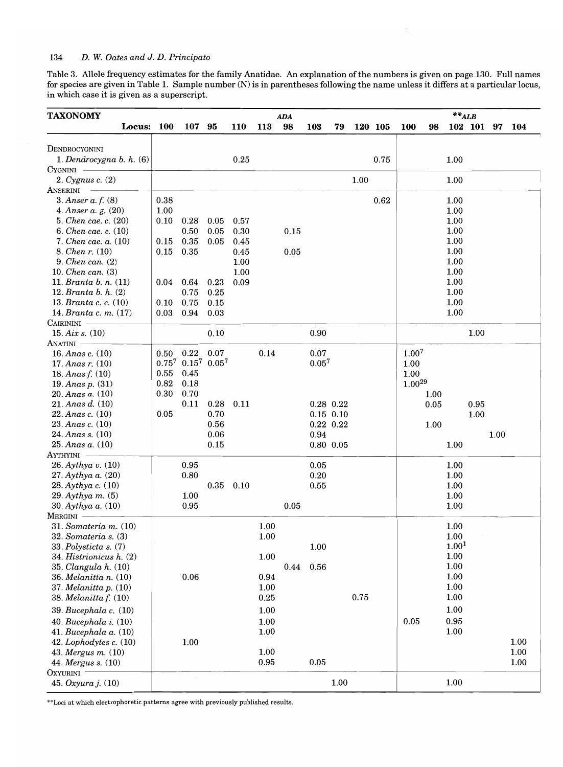Table 3. Allele frequency estimates for the family Anatidae. An explanation of the numbers is given on page 130. Full names for species are given in Table 1. Sample number (N) is in parentheses following the name unless it differs at a particular locus, in which case it is given as a superscript.

| <b>TAXONOMY</b>                                     |          |                            |          |              |      | ADA  |            |               |      |         |             |      | $\ast\ast_{ALB}$  |      |      |          |
|-----------------------------------------------------|----------|----------------------------|----------|--------------|------|------|------------|---------------|------|---------|-------------|------|-------------------|------|------|----------|
| Locus: 100                                          |          | 107 95                     |          | 110          | 113  | 98   | 103        | 79            |      | 120 105 | 100         | 98   | 102 101           |      | 97   | 104      |
|                                                     |          |                            |          |              |      |      |            |               |      |         |             |      |                   |      |      |          |
| DENDROCYGNINI                                       |          |                            |          |              |      |      |            |               |      |         |             |      |                   |      |      |          |
| 1. Dendrocygna $b.$ $h.$ (6)                        |          |                            |          | 0.25         |      |      |            |               |      | 0.75    |             |      | 1.00              |      |      |          |
| CYGNINI                                             |          |                            |          |              |      |      |            |               |      |         |             |      |                   |      |      |          |
| 2. Cygnus c. (2)                                    |          |                            |          |              |      |      |            |               | 1.00 |         |             |      | 1.00              |      |      |          |
| ANSERINI<br>$\overline{\phantom{m}}$                | 0.38     |                            |          |              |      |      |            |               |      |         |             |      |                   |      |      |          |
| 3. Anser $a. f. (8)$<br>4. Anser $a. g. (20)$       |          |                            |          |              |      |      |            |               |      | 0.62    |             |      | 1.00              |      |      |          |
|                                                     | 1.00     |                            |          |              |      |      |            |               |      |         |             |      | 1.00              |      |      |          |
| 5. <i>Chen cae. c.</i> (20)<br>6. Chen cae. c. (10) | 0.10     | 0.28                       | 0.05     | 0.57         |      |      |            |               |      |         |             |      | 1.00              |      |      |          |
| 7. Chen cae. $a. (10)$                              | 0.15     | 0.50<br>0.35               | 0.05     | 0.30         |      | 0.15 |            |               |      |         |             |      | 1.00<br>1.00      |      |      |          |
| 8. <i>Chen r.</i> $(10)$                            | 0.15     | 0.35                       | 0.05     | 0.45         |      | 0.05 |            |               |      |         |             |      | 1.00              |      |      |          |
| $9.$ Chen can. $(2)$                                |          |                            |          | 0.45<br>1.00 |      |      |            |               |      |         |             |      | 1.00              |      |      |          |
| 10. Chen can. $(3)$                                 |          |                            |          | 1.00         |      |      |            |               |      |         |             |      | 1.00              |      |      |          |
| 11. <i>Branta b. n.</i> $(11)$                      | $0.04\,$ | 0.64                       | 0.23     | 0.09         |      |      |            |               |      |         |             |      | 1.00              |      |      |          |
| 12. <i>Branta b. h.</i> $(2)$                       |          | 0.75                       | 0.25     |              |      |      |            |               |      |         |             |      | 1.00              |      |      |          |
| 13. Branta c. c. (10)                               | $0.10\,$ | 0.75                       | 0.15     |              |      |      |            |               |      |         |             |      | 1.00              |      |      |          |
| 14. <i>Branta c. m.</i> $(17)$                      | 0.03     | 0.94                       | 0.03     |              |      |      |            |               |      |         |             |      | 1.00              |      |      |          |
| CAIRININI -                                         |          |                            |          |              |      |      |            |               |      |         |             |      |                   |      |      |          |
| 15. $Aix s. (10)$                                   |          |                            | 0.10     |              |      |      | 0.90       |               |      |         |             |      |                   | 1.00 |      |          |
| ANATINI -                                           |          |                            |          |              |      |      |            |               |      |         |             |      |                   |      |      |          |
| 16. Anas $c. (10)$                                  | $0.50\,$ | 0.22                       | 0.07     |              | 0.14 |      | 0.07       |               |      |         | $1.00^{7}$  |      |                   |      |      |          |
| 17. Anas $r_{1}(10)$                                |          | $0.75^7$ $0.15^7$ $0.05^7$ |          |              |      |      | $0.05^{7}$ |               |      |         | 1.00        |      |                   |      |      |          |
| 18. Anas $f. (10)$                                  | 0.55     | 0.45                       |          |              |      |      |            |               |      |         | 1.00        |      |                   |      |      |          |
| 19. Anas p. $(31)$                                  | 0.82     | 0.18                       |          |              |      |      |            |               |      |         | $1.00^{29}$ |      |                   |      |      |          |
| 20. Anas a. (10)                                    | 0.30     | 0.70                       |          |              |      |      |            |               |      |         |             | 1.00 |                   |      |      |          |
| $21.$ Anas d. $(10)$                                |          | 0.11                       | 0.28     | 0.11         |      |      |            | 0.28 0.22     |      |         |             | 0.05 |                   | 0.95 |      |          |
| 22. Anas c. (10)                                    | 0.05     |                            | 0.70     |              |      |      |            | $0.15$ $0.10$ |      |         |             |      |                   | 1.00 |      |          |
| $23. \text{Ans } c. (10)$                           |          |                            | 0.56     |              |      |      |            | $0.22\ 0.22$  |      |         |             | 1.00 |                   |      |      |          |
| $24. \text{Ans s.} (10)$                            |          |                            | 0.06     |              |      |      | 0.94       |               |      |         |             |      |                   |      | 1.00 |          |
| $25.$ Anas a. $(10)$                                |          |                            | 0.15     |              |      |      |            | $0.80\ 0.05$  |      |         |             |      | 1.00              |      |      |          |
| AYTHYINI                                            |          |                            |          |              |      |      |            |               |      |         |             |      |                   |      |      |          |
| 26. Aythya v. (10)                                  |          | 0.95                       |          |              |      |      | 0.05       |               |      |         |             |      | 1.00              |      |      |          |
| 27. Aythya a. (20)                                  |          | 0.80                       |          |              |      |      | 0.20       |               |      |         |             |      | 1.00              |      |      |          |
| 28. Aythya c. (10)                                  |          |                            | $0.35\,$ | 0.10         |      |      | 0.55       |               |      |         |             |      | 1.00              |      |      |          |
| 29. Aythya m. (5)                                   |          | 1.00                       |          |              |      |      |            |               |      |         |             |      | 1.00              |      |      |          |
| 30. $Aythya$ a. $(10)$                              |          | 0.95                       |          |              |      | 0.05 |            |               |      |         |             |      | 1.00              |      |      |          |
| MERGINI                                             |          |                            |          |              |      |      |            |               |      |         |             |      |                   |      |      |          |
| 31. Somateria m. (10)                               |          |                            |          |              | 1.00 |      |            |               |      |         |             |      | 1.00              |      |      |          |
| $32.$ Somateria s. $(3)$                            |          |                            |          |              | 1.00 |      |            |               |      |         |             |      | 1.00              |      |      |          |
| 33. Polysticta s. $(7)$                             |          |                            |          |              |      |      | 1.00       |               |      |         |             |      | 1.00 <sup>1</sup> |      |      |          |
| 34. Histrionicus h. (2)                             |          |                            |          |              | 1.00 |      |            |               |      |         |             |      | 1.00              |      |      |          |
| 35. Clangula h. (10)                                |          |                            |          |              |      | 0.44 | 0.56       |               |      |         |             |      | 1.00              |      |      |          |
| 36. Melanitta n. (10)                               |          | 0.06                       |          |              | 0.94 |      |            |               |      |         |             |      | 1.00              |      |      |          |
| 37. Melanitta p. (10)                               |          |                            |          |              | 1.00 |      |            |               |      |         |             |      | 1.00              |      |      |          |
| 38. Melanitta f. (10)                               |          |                            |          |              | 0.25 |      |            |               | 0.75 |         |             |      | 1.00              |      |      |          |
| 39. Bucephala c. (10)                               |          |                            |          |              | 1.00 |      |            |               |      |         |             |      | 1.00              |      |      |          |
| 40. Bucephala i. $(10)$                             |          |                            |          |              | 1.00 |      |            |               |      |         | 0.05        |      | 0.95              |      |      |          |
| 41. Bucephala $a. (10)$                             |          |                            |          |              | 1.00 |      |            |               |      |         |             |      | 1.00              |      |      |          |
| 42. Lophodytes c. (10)                              |          | 1.00                       |          |              |      |      |            |               |      |         |             |      |                   |      |      | 1.00     |
| 43. Mergus m. (10)                                  |          |                            |          |              | 1.00 |      |            |               |      |         |             |      |                   |      |      | $1.00\,$ |
| 44. Mergus s. (10)                                  |          |                            |          |              | 0.95 |      | 0.05       |               |      |         |             |      |                   |      |      | 1.00     |
| OXYURINI                                            |          |                            |          |              |      |      |            |               |      |         |             |      |                   |      |      |          |
| 45. Oxyura j. (10)                                  |          |                            |          |              |      |      |            | 1.00          |      |         |             |      | 1.00              |      |      |          |

\*\*Loci at which electrophoretic patterns agree with previously published results.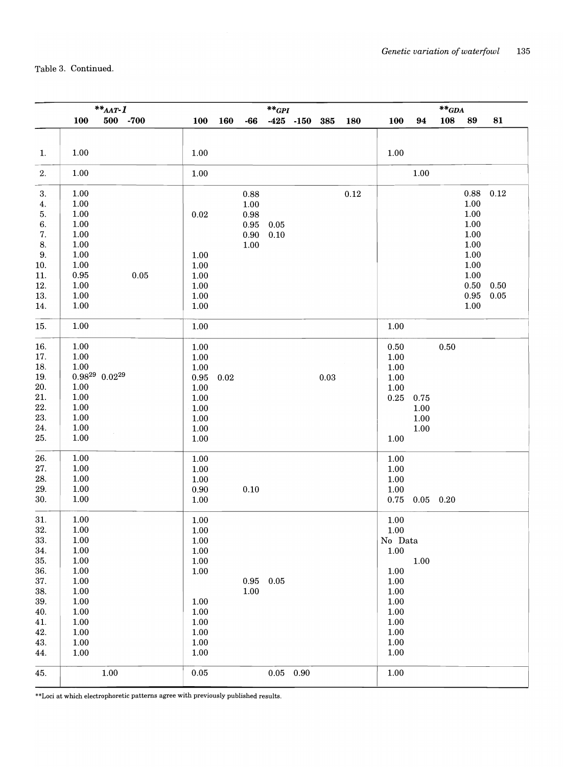|                  |            | $\boldsymbol{**}_{GPI}$        |            |          |            |          |                  |               |      | $\mathrm{**}_{\mathrm{GDA}}$ |            |          |             |            |            |
|------------------|------------|--------------------------------|------------|----------|------------|----------|------------------|---------------|------|------------------------------|------------|----------|-------------|------------|------------|
|                  | 100        | ** $_{AAT}$ -1<br>500 -700     |            | 100      | 160        | $-66$    |                  | $-425$ $-150$ | 385  | 180                          | 100        | 94       | 108         | 89         | 81         |
|                  |            |                                |            |          |            |          |                  |               |      |                              |            |          |             |            |            |
| $\mathbf{1}$ .   | 1.00       |                                |            | 1.00     |            |          |                  |               |      |                              | $1.00\,$   |          |             |            |            |
| 2.               | 1.00       |                                |            | $1.00\,$ |            |          |                  |               |      |                              |            | $1.00\,$ |             |            |            |
| 3.               | 1.00       |                                |            |          |            | 0.88     |                  |               |      | $0.12\,$                     |            |          |             | 0.88       | 0.12       |
| $\overline{4}$ . | 1.00       |                                |            |          |            | $1.00\,$ |                  |               |      |                              |            |          |             | 1.00       |            |
| 5.               | 1.00       |                                |            | 0.02     |            | 0.98     |                  |               |      |                              |            |          |             | 1.00       |            |
| 6.               | 1.00       |                                |            |          |            | 0.95     | 0.05             |               |      |                              |            |          |             | $1.00\,$   |            |
| 7.               | 1.00       |                                |            |          |            | 0.90     | 0.10             |               |      |                              |            |          |             | $1.00\,$   |            |
| 8.               | 1.00       |                                |            |          |            | 1.00     |                  |               |      |                              |            |          |             | $1.00\,$   |            |
| 9.               | $1.00\,$   |                                |            | 1.00     |            |          |                  |               |      |                              |            |          |             | $1.00\,$   |            |
| 10.              | 1.00       |                                |            | 1.00     |            |          |                  |               |      |                              |            |          |             | $1.00\,$   |            |
| 11.              | $\rm 0.95$ |                                | $\rm 0.05$ | 1.00     |            |          |                  |               |      |                              |            |          |             | $1.00\,$   |            |
| 12.              | 1.00       |                                |            | 1.00     |            |          |                  |               |      |                              |            |          |             | 0.50       | 0.50       |
| 13.              | 1.00       |                                |            | 1.00     |            |          |                  |               |      |                              |            |          |             | $\rm 0.95$ | $\rm 0.05$ |
| 14.              | 1.00       |                                |            | 1.00     |            |          |                  |               |      |                              |            |          |             | 1.00       |            |
| 15.              | 1.00       |                                |            | 1.00     |            |          |                  |               |      |                              | 1.00       |          |             |            |            |
| 16.              | 1.00       |                                |            | 1.00     |            |          |                  |               |      |                              | 0.50       |          | $0.50\,$    |            |            |
| 17.              | $1.00\,$   |                                |            | $1.00\,$ |            |          |                  |               |      |                              | 1.00       |          |             |            |            |
| 18.              | 1.00       |                                |            | $1.00\,$ |            |          |                  |               |      |                              | 1.00       |          |             |            |            |
| 19.              |            | $0.98^{29}$ 0.02 <sup>29</sup> |            | 0.95     | $\rm 0.02$ |          |                  |               | 0.03 |                              | 1.00       |          |             |            |            |
| 20.              | $1.00\,$   |                                |            | 1.00     |            |          |                  |               |      |                              | 1.00       |          |             |            |            |
| 21.              | $1.00\,$   |                                |            | 1.00     |            |          |                  |               |      |                              | $\rm 0.25$ | 0.75     |             |            |            |
| 22.              | 1.00       |                                |            | 1.00     |            |          |                  |               |      |                              |            | $1.00\,$ |             |            |            |
| 23.              | 1.00       |                                |            | $1.00\,$ |            |          |                  |               |      |                              |            | $1.00\,$ |             |            |            |
| 24.              | 1.00       |                                |            | 1.00     |            |          |                  |               |      |                              |            | $1.00\,$ |             |            |            |
| 25.              | 1.00       |                                |            | 1.00     |            |          |                  |               |      |                              | 1.00       |          |             |            |            |
| 26.              | 1.00       |                                |            | $1.00\,$ |            |          |                  |               |      |                              | 1.00       |          |             |            |            |
| $27. \,$         | 1.00       |                                |            | 1.00     |            |          |                  |               |      |                              | 1.00       |          |             |            |            |
| 28.              | 1.00       |                                |            | 1.00     |            |          |                  |               |      |                              | 1.00       |          |             |            |            |
| 29.              | 1.00       |                                |            | 0.90     |            | $0.10\,$ |                  |               |      |                              | 1.00       |          |             |            |            |
| 30.              | 1.00       |                                |            | 1.00     |            |          |                  |               |      |                              | 0.75       |          | $0.05$ 0.20 |            |            |
| 31.              | 1.00       |                                |            | $1.00\,$ |            |          |                  |               |      |                              | 1.00       |          |             |            |            |
| $32. \,$         | 1.00       |                                |            | 1.00     |            |          |                  |               |      |                              | $1.00\,$   |          |             |            |            |
| 33.              | 1.00       |                                |            | 1.00     |            |          |                  |               |      |                              | No Data    |          |             |            |            |
| 34.              | $1.00\,$   |                                |            | 1.00     |            |          |                  |               |      |                              | $1.00\,$   |          |             |            |            |
| 35.              | 1.00       |                                |            | 1.00     |            |          |                  |               |      |                              |            | $1.00\,$ |             |            |            |
| 36.              | $1.00\,$   |                                |            | $1.00\,$ |            |          |                  |               |      |                              | 1.00       |          |             |            |            |
| 37.              | 1.00       |                                |            |          |            | 0.95     | 0.05             |               |      |                              | 1.00       |          |             |            |            |
| 38.              | $1.00\,$   |                                |            |          |            | 1.00     |                  |               |      |                              | 1.00       |          |             |            |            |
| 39.              | $1.00\,$   |                                |            | 1.00     |            |          |                  |               |      |                              | $1.00\,$   |          |             |            |            |
| 40.              | $1.00\,$   |                                |            | $1.00\,$ |            |          |                  |               |      |                              | $1.00\,$   |          |             |            |            |
| 41.              | $1.00\,$   |                                |            | 1.00     |            |          |                  |               |      |                              | 1.00       |          |             |            |            |
| 42.              | 1.00       |                                |            | 1.00     |            |          |                  |               |      |                              | 1.00       |          |             |            |            |
| 43.              | 1.00       |                                |            | 1.00     |            |          |                  |               |      |                              | 1.00       |          |             |            |            |
| 44.              | 1.00       |                                |            | 1.00     |            |          |                  |               |      |                              | 1.00       |          |             |            |            |
| 45.              |            | $1.00\,$                       |            | $0.05\,$ |            |          | $0.05\quad 0.90$ |               |      |                              | 1.00       |          |             |            |            |
|                  |            |                                |            |          |            |          |                  |               |      |                              |            |          |             |            |            |

 $\rm ^{\ast *}Loc$  at which electrophoretic patterns agree with previously published results.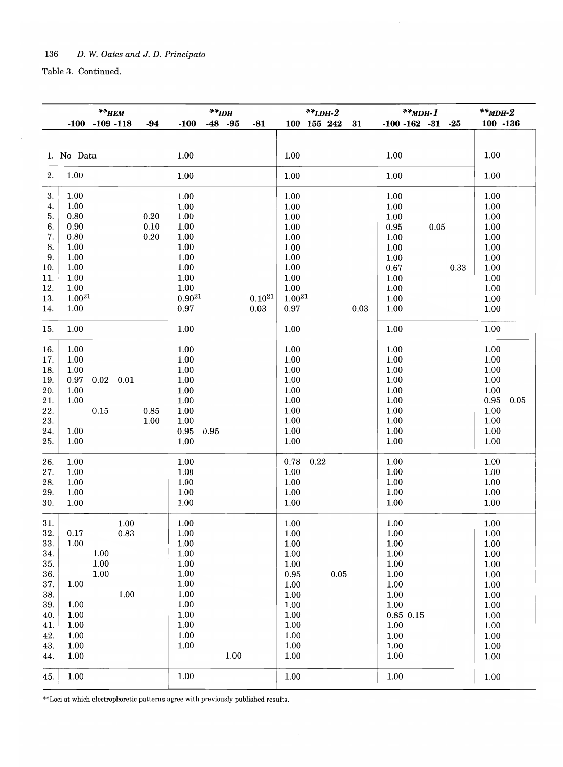|                 | $\ast\ast_{HEM}$<br>$-100 - 109 - 118$<br>$-94$ | $\ast\ast_{IDH}$<br>$-48$ $-95$<br>$-81$<br>$-100$ | $*$ <i>LDH-2</i><br>100 155 242<br>31 | $*$ *MDH-1<br>$-100 - 162 - 31$<br>$-25$ | $*$ *MDH-2<br>100 -136 |
|-----------------|-------------------------------------------------|----------------------------------------------------|---------------------------------------|------------------------------------------|------------------------|
|                 |                                                 |                                                    |                                       |                                          |                        |
|                 |                                                 |                                                    |                                       |                                          |                        |
| 1.              | No Data                                         | 1.00                                               | 1.00                                  | 1.00                                     | 1.00                   |
| 2.              | 1.00                                            | 1.00                                               | 1.00                                  | 1.00                                     | 1.00                   |
| 3.              | 1.00                                            | 1.00                                               | 1.00                                  | 1.00                                     | 1.00                   |
| 4.              | 1.00                                            | 1.00                                               | 1.00                                  | 1.00                                     | 1.00                   |
| 5.              | 0.80<br>0.20                                    | 1.00                                               | 1.00                                  | 1.00                                     | 1.00                   |
| 6.              | 0.90<br>0.10                                    | 1.00                                               | 1.00                                  | 0.05<br>0.95                             | 1.00                   |
| 7.              | $0.80\,$<br>0.20                                | 1.00                                               | 1.00                                  | 1.00                                     | 1.00                   |
| 8.              | 1.00                                            | 1.00                                               | 1.00                                  | 1.00                                     | 1.00                   |
| 9.              | 1.00                                            | 1.00                                               | 1.00                                  | 1.00                                     | 1.00                   |
| 10.             | 1.00                                            | $1.00\,$                                           | $1.00\,$                              | 0.67<br>0.33                             | 1.00                   |
| 11.<br>12.      | $1.00\,$<br>1.00                                | 1.00<br>1.00                                       | 1.00<br>1.00                          | 1.00<br>1.00                             | 1.00<br>1.00           |
| 13.             | $1.00^{21}$                                     | $0.90^{21}$<br>$0.10^{21}$                         | $1.00^{21}$                           | 1.00                                     | 1.00                   |
| 14.             | 1.00                                            | 0.97<br>0.03                                       | 0.97<br>0.03                          | 1.00                                     | 1.00                   |
|                 |                                                 |                                                    |                                       |                                          |                        |
| 15.             | 1.00                                            | 1.00                                               | 1.00                                  | 1.00                                     | 1.00                   |
| 16.             | 1.00                                            | 1.00                                               | 1.00                                  | 1.00                                     | 1.00                   |
| 17.             | 1.00                                            | 1.00                                               | 1.00                                  | 1.00                                     | 1.00                   |
| 18.             | $1.00\,$                                        | 1.00                                               | 1.00                                  | 1.00                                     | 1.00                   |
| 19.             | $0.02 \quad 0.01$<br>0.97                       | 1.00                                               | 1.00                                  | 1.00                                     | 1.00                   |
| 20.             | 1.00                                            | 1.00                                               | 1.00                                  | 1.00                                     | 1.00                   |
| 21.<br>$22. \,$ | 1.00<br>0.15<br>0.85                            | 1.00<br>1.00                                       | 1.00<br>1.00                          | 1.00<br>1.00                             | 0.95<br>0.05<br>1.00   |
| 23.             | 1.00                                            | 1.00                                               | 1.00                                  | 1.00                                     | 1.00                   |
| 24.             | 1.00                                            | 0.95<br>0.95                                       | 1.00                                  | 1.00                                     | 1.00                   |
| 25.             | 1.00                                            | 1.00                                               | 1.00                                  | 1.00                                     | 1.00                   |
|                 |                                                 |                                                    |                                       |                                          |                        |
| 26.<br>27.      | 1.00<br>1.00                                    | 1.00<br>1.00                                       | 0.78<br>0.22<br>1.00                  | 1.00<br>1.00                             | 1.00<br>1.00           |
| 28.             | 1.00                                            | 1.00                                               | 1.00                                  | 1.00                                     | 1.00                   |
| 29.             | 1.00                                            | 1.00                                               | 1.00                                  | 1.00                                     | 1.00                   |
| 30.             | 1.00                                            | 1.00                                               | 1.00                                  | 1.00                                     | 1.00                   |
|                 |                                                 |                                                    |                                       |                                          |                        |
| 31.             | 1.00                                            | 1.00                                               | 1.00                                  | 1.00                                     | 1.00                   |
| 32.             | 0.83<br>0.17                                    | 1.00                                               | 1.00                                  | 1.00                                     | 1.00                   |
| 33.             | 1.00                                            | 1.00                                               | $1.00\,$                              | $1.00\,$                                 | 1.00                   |
| 34.             | 1.00<br>1.00                                    | 1.00<br>1.00                                       | 1.00<br>1.00                          | 1.00<br>$1.00\,$                         | 1.00<br>1.00           |
| 35.<br>36.      | 1.00                                            | 1.00                                               | $0.05\,$<br>0.95                      | 1.00                                     | 1.00                   |
| 37.             | 1.00                                            | 1.00                                               | 1.00                                  | 1.00                                     | 1.00                   |
| 38.             | 1.00                                            | 1.00                                               | 1.00                                  | 1.00                                     | 1.00                   |
| 39.             | 1.00                                            | 1.00                                               | 1.00                                  | 1.00                                     | 1.00                   |
| 40.             | 1.00                                            | 1.00                                               | 1.00                                  | 0.85 0.15                                | 1.00                   |
| 41.             | 1.00                                            | 1.00                                               | 1.00                                  | 1.00                                     | 1.00                   |
| 42.             | 1.00                                            | $1.00\,$                                           | 1.00                                  | 1.00                                     | 1.00                   |
| 43.             | 1.00                                            | 1.00                                               | 1.00                                  | 1.00                                     | 1.00                   |
| 44.             | 1.00                                            | 1.00                                               | 1.00                                  | 1.00                                     | 1.00                   |
| 45.             | 1.00                                            | 1.00                                               | 1.00                                  | 1.00                                     | 1.00                   |

 $\rm ^{\ast *}$  Loci at which electrophoretic patterns agree with previously published results.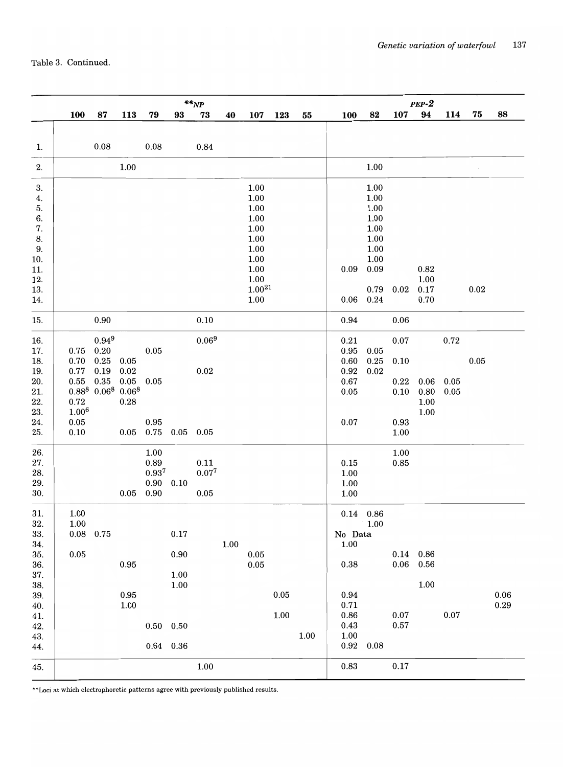|     |                  | $**_{NP}$                  | $PEP-2$  |                   |             |          |      |             |            |      |            |             |             |          |      |            |            |
|-----|------------------|----------------------------|----------|-------------------|-------------|----------|------|-------------|------------|------|------------|-------------|-------------|----------|------|------------|------------|
|     | 100              | 87                         | 113      | 79                | 93          | 73       | 40   | 107         | 123        | 55   | 100        | 82          | 107         | 94       | 114  | 75         | 88         |
|     |                  |                            |          |                   |             |          |      |             |            |      |            |             |             |          |      |            |            |
|     |                  | 0.08                       |          |                   |             |          |      |             |            |      |            |             |             |          |      |            |            |
| 1.  |                  |                            |          | 0.08              |             | 0.84     |      |             |            |      |            |             |             |          |      |            |            |
| 2.  |                  |                            | 1.00     |                   |             |          |      |             |            |      |            | 1.00        |             |          |      |            |            |
| 3.  |                  |                            |          |                   |             |          |      | 1.00        |            |      |            | 1.00        |             |          |      |            |            |
| 4.  |                  |                            |          |                   |             |          |      | 1.00        |            |      |            | $1.00\,$    |             |          |      |            |            |
| 5.  |                  |                            |          |                   |             |          |      | $1.00\,$    |            |      |            | $1.00\,$    |             |          |      |            |            |
| 6.  |                  |                            |          |                   |             |          |      | 1.00        |            |      |            | 1.00        |             |          |      |            |            |
| 7.  |                  |                            |          |                   |             |          |      | $1.00\,$    |            |      |            | $1.00\,$    |             |          |      |            |            |
| 8.  |                  |                            |          |                   |             |          |      | 1.00        |            |      |            | 1.00        |             |          |      |            |            |
| 9.  |                  |                            |          |                   |             |          |      | 1.00        |            |      |            | 1.00        |             |          |      |            |            |
| 10. |                  |                            |          |                   |             |          |      | 1.00        |            |      |            | 1.00        |             |          |      |            |            |
| 11. |                  |                            |          |                   |             |          |      | $1.00\,$    |            |      | 0.09       | 0.09        |             | 0.82     |      |            |            |
| 12. |                  |                            |          |                   |             |          |      | 1.00        |            |      |            |             |             | 1.00     |      |            |            |
| 13. |                  |                            |          |                   |             |          |      | $1.00^{21}$ |            |      |            |             | 0.02        |          |      | $\rm 0.02$ |            |
|     |                  |                            |          |                   |             |          |      |             |            |      |            | 0.79        |             | 0.17     |      |            |            |
| 14. |                  |                            |          |                   |             |          |      | $1.00\,$    |            |      | 0.06       | 0.24        |             | 0.70     |      |            |            |
| 15. |                  | 0.90                       |          |                   |             | 0.10     |      |             |            |      | 0.94       |             | 0.06        |          |      |            |            |
| 16. |                  | 0.949                      |          |                   |             | 0.069    |      |             |            |      | 0.21       |             | 0.07        |          | 0.72 |            |            |
| 17. | 0.75             | 0.20                       |          | $0.05\,$          |             |          |      |             |            |      | 0.95       | $0.05\,$    |             |          |      |            |            |
| 18. | 0.70             | 0.25                       | 0.05     |                   |             |          |      |             |            |      | 0.60       | 0.25        | 0.10        |          |      | 0.05       |            |
| 19. | 0.77             | 0.19                       | 0.02     |                   |             | 0.02     |      |             |            |      | $\rm 0.92$ | 0.02        |             |          |      |            |            |
| 20. | 0.55             | 0.35                       | 0.05     |                   |             |          |      |             |            |      | 0.67       |             |             |          |      |            |            |
|     |                  | $0.88^8$ $0.06^8$ $0.06^8$ |          | 0.05              |             |          |      |             |            |      |            |             | 0.22        | 0.06     | 0.05 |            |            |
| 21. |                  |                            |          |                   |             |          |      |             |            |      | 0.05       |             | $0.10\,$    | 0.80     | 0.05 |            |            |
| 22. | 0.72             |                            | 0.28     |                   |             |          |      |             |            |      |            |             |             | 1.00     |      |            |            |
| 23. | $1.00^{6}$       |                            |          |                   |             |          |      |             |            |      |            |             |             | 1.00     |      |            |            |
| 24. | $\rm 0.05$       |                            |          | 0.95              |             |          |      |             |            |      | 0.07       |             | 0.93        |          |      |            |            |
| 25. | $0.10\,$         |                            | 0.05     | $0.75\,$          | $0.05$ 0.05 |          |      |             |            |      |            |             | 1.00        |          |      |            |            |
| 26. |                  |                            |          | 1.00              |             |          |      |             |            |      |            |             | 1.00        |          |      |            |            |
| 27. |                  |                            |          | 0.89              |             | 0.11     |      |             |            |      | 0.15       |             | 0.85        |          |      |            |            |
| 28. |                  |                            |          | $0.93^{7}$        |             | 0.077    |      |             |            |      | 1.00       |             |             |          |      |            |            |
| 29. |                  |                            |          | 0.90              | 0.10        |          |      |             |            |      | 1.00       |             |             |          |      |            |            |
| 30. |                  |                            | $0.05\,$ | 0.90              |             | 0.05     |      |             |            |      | 1.00       |             |             |          |      |            |            |
| 31. | 1.00             |                            |          |                   |             |          |      |             |            |      |            | $0.14$ 0.86 |             |          |      |            |            |
| 32. | 1.00             |                            |          |                   |             |          |      |             |            |      |            | $1.00\,$    |             |          |      |            |            |
| 33. | $0.08\quad 0.75$ |                            |          |                   | $0.17\,$    |          |      |             |            |      | No Data    |             |             |          |      |            |            |
| 34. |                  |                            |          |                   |             |          | 1.00 |             |            |      | 1.00       |             |             |          |      |            |            |
| 35. | $0.05\,$         |                            |          |                   | 0.90        |          |      | $\rm 0.05$  |            |      |            |             | $0.14$ 0.86 |          |      |            |            |
| 36. |                  |                            | 0.95     |                   |             |          |      | $\rm 0.05$  |            |      | 0.38       |             | $0.06$ 0.56 |          |      |            |            |
| 37. |                  |                            |          |                   | 1.00        |          |      |             |            |      |            |             |             |          |      |            |            |
| 38. |                  |                            |          |                   | 1.00        |          |      |             |            |      |            |             |             | $1.00\,$ |      |            |            |
| 39. |                  |                            | 0.95     |                   |             |          |      |             | $\rm 0.05$ |      | 0.94       |             |             |          |      |            | 0.06       |
| 40. |                  |                            | 1.00     |                   |             |          |      |             |            |      | 0.71       |             |             |          |      |            | $\rm 0.29$ |
| 41. |                  |                            |          |                   |             |          |      |             | 1.00       |      | 0.86       |             | 0.07        |          | 0.07 |            |            |
| 42. |                  |                            |          | $0.50 \quad 0.50$ |             |          |      |             |            |      | 0.43       |             | 0.57        |          |      |            |            |
| 43. |                  |                            |          |                   |             |          |      |             |            | 1.00 | 1.00       |             |             |          |      |            |            |
| 44. |                  |                            |          | $0.64$ 0.36       |             |          |      |             |            |      | 0.92       | 0.08        |             |          |      |            |            |
| 45. |                  |                            |          |                   |             | $1.00\,$ |      |             |            |      | 0.83       |             | $0.17\,$    |          |      |            |            |

 $\rm ^{\ast \ast} Loci$  at which electrophoretic patterns agree with previously published results.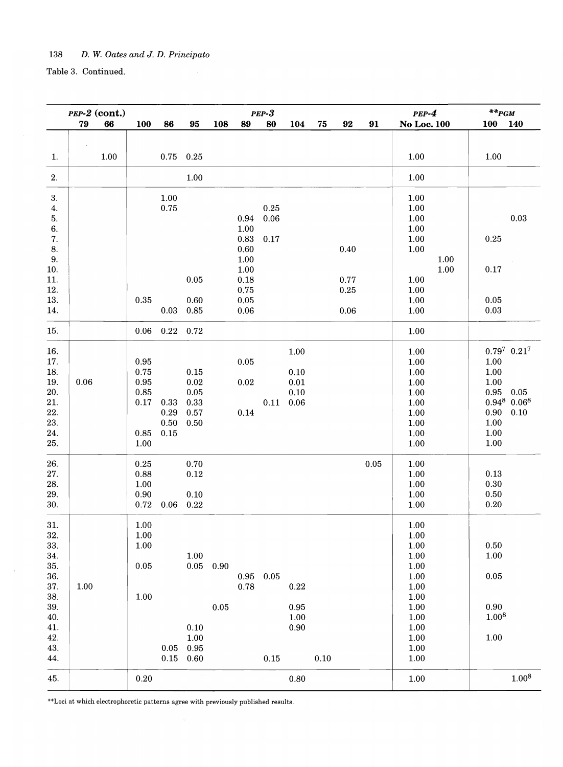$\sim$ 

Table 3. Continued.

 $\hat{\mathcal{A}}$ 

|                        | $PEP-2$ (cont.)<br>$PEP-3$ |            |                   |                  |             |            |                  |              |          | $PEP-4$    | $\boldsymbol{*}\boldsymbol{*}_{\boldsymbol{PGM}}$ |                    |                            |
|------------------------|----------------------------|------------|-------------------|------------------|-------------|------------|------------------|--------------|----------|------------|---------------------------------------------------|--------------------|----------------------------|
|                        | 79<br>66                   | 100        | 86                | 95               | 108         | 89         | 80               | 104          | 75       | 92         | 91                                                | <b>No Loc. 100</b> | <b>140</b><br><b>100</b>   |
|                        |                            |            |                   |                  |             |            |                  |              |          |            |                                                   |                    |                            |
| 1.                     | $1.00\,$                   |            |                   | $0.75$ 0.25      |             |            |                  |              |          |            |                                                   | $1.00\,$           | 1.00                       |
| 2.                     |                            |            |                   | $1.00\,$         |             |            |                  |              |          |            |                                                   | 1.00               |                            |
|                        |                            |            |                   |                  |             |            |                  |              |          |            |                                                   |                    |                            |
| 3.<br>$\overline{4}$ . |                            |            | 1.00<br>$0.75\,$  |                  |             |            | $\rm 0.25$       |              |          |            |                                                   | 1.00<br>1.00       |                            |
| 5.                     |                            |            |                   |                  |             | 0.94       | 0.06             |              |          |            |                                                   | 1.00               | $\rm 0.03$                 |
| 6.                     |                            |            |                   |                  |             | 1.00       |                  |              |          |            |                                                   | 1.00               |                            |
| 7.                     |                            |            |                   |                  |             | 0.83       | $0.17\,$         |              |          |            |                                                   | 1.00               | $\rm 0.25$                 |
| 8.                     |                            |            |                   |                  |             | 0.60       |                  |              |          | $\rm 0.40$ |                                                   | $1.00\,$           |                            |
| 9.                     |                            |            |                   |                  |             | $1.00\,$   |                  |              |          |            |                                                   | 1.00               |                            |
| 10.                    |                            |            |                   |                  |             | 1.00       |                  |              |          |            |                                                   | $1.00\,$           | $0.17\,$                   |
| 11.                    |                            |            |                   | $\rm 0.05$       |             | $0.18\,$   |                  |              |          | 0.77       |                                                   | 1.00               |                            |
| 12.                    |                            |            |                   |                  |             | 0.75       |                  |              |          | $\rm 0.25$ |                                                   | 1.00               |                            |
| 13.                    |                            | 0.35       |                   | 0.60             |             | $\rm 0.05$ |                  |              |          |            |                                                   | $1.00\,$           | 0.05                       |
| 14.                    |                            |            |                   | $0.03\quad 0.85$ |             | $0.06\,$   |                  |              |          | $0.06\,$   |                                                   | 1.00               | $\rm 0.03$                 |
| 15.                    |                            | 0.06       | $0.22 \quad 0.72$ |                  |             |            |                  |              |          |            |                                                   | 1.00               |                            |
| 16.                    |                            |            |                   |                  |             |            |                  | 1.00         |          |            |                                                   | 1.00               | $0.79^7$ $0.21^7$          |
| 17.                    |                            | 0.95       |                   |                  |             | $0.05\,$   |                  |              |          |            |                                                   | 1.00               | 1.00                       |
| 18.                    |                            | 0.75       |                   | 0.15             |             |            |                  | $0.10\,$     |          |            |                                                   | 1.00               | 1.00                       |
| 19.                    | 0.06                       | 0.95       |                   | 0.02             |             | 0.02       |                  | 0.01         |          |            |                                                   | 1.00               | $1.00\,$                   |
| 20.                    |                            | 0.85       |                   | $0.05\,$         |             |            |                  | 0.10         |          |            |                                                   | 1.00               | 0.95<br>0.05               |
| 21.                    |                            | $0.17\,$   | 0.33              | 0.33             |             |            | $0.11\quad 0.06$ |              |          |            |                                                   | $1.00\,$           | $0.94^8$ 0.06 <sup>8</sup> |
| 22.                    |                            |            | 0.29              | 0.57             |             | $0.14\,$   |                  |              |          |            |                                                   | 1.00               | $0.90\,$<br>$0.10\,$       |
| 23.                    |                            |            | 0.50              | 0.50             |             |            |                  |              |          |            |                                                   | 1.00               | $1.00\,$                   |
| 24.                    |                            | 0.85       | 0.15              |                  |             |            |                  |              |          |            |                                                   | 1.00               | $1.00\,$                   |
| 25.                    |                            | 1.00       |                   |                  |             |            |                  |              |          |            |                                                   | 1.00               | $1.00\,$                   |
| 26.                    |                            | $\rm 0.25$ |                   | 0.70             |             |            |                  |              |          |            | $0.05\,$                                          | 1.00               |                            |
| 27.                    |                            | 0.88       |                   | $0.12\,$         |             |            |                  |              |          |            |                                                   | 1.00               | 0.13                       |
| 28.                    |                            | 1.00       |                   |                  |             |            |                  |              |          |            |                                                   | 1.00               | 0.30                       |
| 29.                    |                            | 0.90       |                   | 0.10             |             |            |                  |              |          |            |                                                   | 1.00               | $0.50\,$                   |
| 30.                    |                            | 0.72       | $0.06$ 0.22       |                  |             |            |                  |              |          |            |                                                   | 1.00               | $0.20\,$                   |
| 31.                    |                            | $1.00\,$   |                   |                  |             |            |                  |              |          |            |                                                   | 1.00               |                            |
| $32. \,$               |                            | 1.00       |                   |                  |             |            |                  |              |          |            |                                                   | 1.00               |                            |
| 33.                    |                            | 1.00       |                   |                  |             |            |                  |              |          |            |                                                   | 1.00               | 0.50                       |
| 34.                    |                            |            |                   | $1.00\,$         |             |            |                  |              |          |            |                                                   | $1.00\,$           | $1.00\,$                   |
| 35.                    |                            | 0.05       |                   |                  | $0.05$ 0.90 |            |                  |              |          |            |                                                   | $1.00\,$           |                            |
| 36.                    |                            |            |                   |                  |             |            | $0.95$ 0.05      |              |          |            |                                                   | $1.00\,$           | 0.05                       |
| 37.                    | 1.00                       |            |                   |                  |             | $0.78\,$   |                  | 0.22         |          |            |                                                   | 1.00               |                            |
| 38.                    |                            | 1.00       |                   |                  |             |            |                  |              |          |            |                                                   | $1.00\,$           | 0.90                       |
| 39.<br>40.             |                            |            |                   |                  | 0.05        |            |                  | 0.95<br>1.00 |          |            |                                                   | 1.00<br>$1.00\,$   | $1.00^{8}$                 |
| 41.                    |                            |            |                   | 0.10             |             |            |                  | 0.90         |          |            |                                                   | $1.00\,$           |                            |
| 42.                    |                            |            |                   | 1.00             |             |            |                  |              |          |            |                                                   | $1.00\,$           | 1.00                       |
| 43.                    |                            |            | 0.05              | 0.95             |             |            |                  |              |          |            |                                                   | $1.00\,$           |                            |
| 44.                    |                            |            |                   | $0.15\quad 0.60$ |             |            | $0.15\,$         |              | $0.10\,$ |            |                                                   | 1.00               |                            |
| 45.                    |                            | $0.20\,$   |                   |                  |             |            |                  | 0.80         |          |            |                                                   | 1.00               | $1.00^{8}$                 |

 $\rm ^{\ast \ast} Loci$  at which electrophoretic patterns agree with previously published results.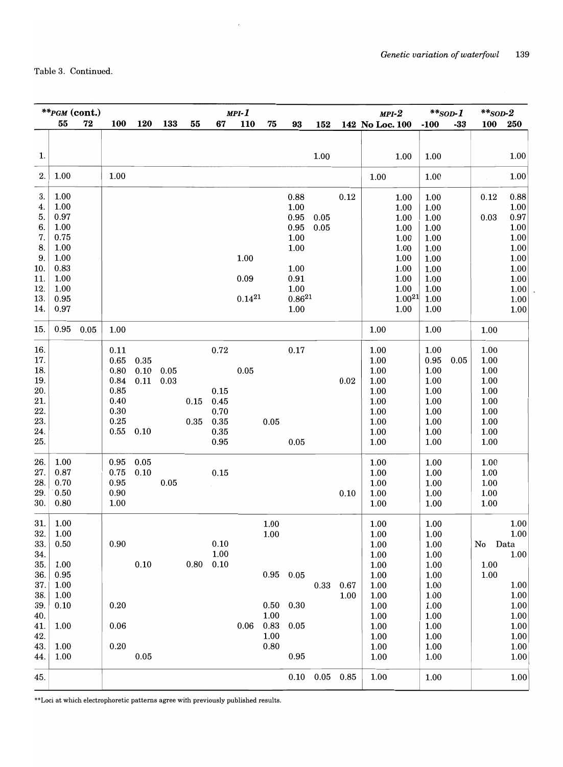| $*_{PGM}$ (cont.) |              |             |                  |            |      |      | $MPI - I$    |             |          |                     |      | $MPI-2$     | $**$ sop-1          | $**$ sod-2      |              |              |
|-------------------|--------------|-------------|------------------|------------|------|------|--------------|-------------|----------|---------------------|------|-------------|---------------------|-----------------|--------------|--------------|
|                   | ${\bf 55}$   | ${\bf 72}$  | 100              | 120        | 133  | 55   | 67           | 110         | 75       | 93                  | 152  |             | 142 No Loc. 100     | $-33$<br>$-100$ | 100          | 250          |
|                   |              |             |                  |            |      |      |              |             |          |                     |      |             |                     |                 |              |              |
| $\mathbf{1}$ .    |              |             |                  |            |      |      |              |             |          |                     | 1.00 |             | 1.00                | 1.00            |              | 1.00         |
| 2.                | 1.00         |             | 1.00             |            |      |      |              |             |          |                     |      |             | 1.00                | 1.00            | $\bar{z}$    | 1.00         |
| 3.                | 1.00         |             |                  |            |      |      |              |             |          | 0.88                |      | 0.12        | 1.00                | 1.00            | 0.12         | 0.88         |
| 4.                | 1.00         |             |                  |            |      |      |              |             |          | 1.00                |      |             | 1.00                | 1.00            |              | 1.00         |
| 5.                | 0.97         |             |                  |            |      |      |              |             |          | $\rm 0.95$          | 0.05 |             | 1.00                | 1.00            | 0.03         | $0.97\,$     |
| 6.                | 1.00         |             |                  |            |      |      |              |             |          | $\rm 0.95$          | 0.05 |             | 1.00                | 1.00            |              | 1.00         |
| 7.                | 0.75         |             |                  |            |      |      |              |             |          | 1.00                |      |             | 1.00                | 1.00            |              | $1.00\,$     |
| 8.                | 1.00         |             |                  |            |      |      |              |             |          | 1.00                |      |             | 1.00                | 1.00            |              | $1.00\,$     |
| 9.                | 1.00         |             |                  |            |      |      |              | 1.00        |          |                     |      |             | 1.00                | 1.00            |              | 1.00         |
| 10.               | 0.83         |             |                  |            |      |      |              |             |          | 1.00                |      |             | 1.00                | 1.00            |              | $1.00\,$     |
| 11.               | 1.00         |             |                  |            |      |      |              | 0.09        |          | $\rm 0.91$          |      |             | 1.00                | 1.00            |              | 1.00         |
| 12.               | 1.00         |             |                  |            |      |      |              | $0.14^{21}$ |          | 1.00<br>$0.86^{21}$ |      |             | 1.00<br>$1.00^{21}$ | 1.00            |              | 1.00         |
| 13.               | 0.95<br>0.97 |             |                  |            |      |      |              |             |          |                     |      |             |                     | 1.00            |              | 1.00<br>1.00 |
| 14.               |              |             |                  |            |      |      |              |             |          | 1.00                |      |             | 1.00                | 1.00            |              |              |
| 15.               |              | $0.95$ 0.05 | 1.00             |            |      |      |              |             |          |                     |      |             | 1.00                | 1.00            | 1.00         |              |
| 16.               |              |             | $0.11\,$         |            |      |      | 0.72         |             |          | $0.17\,$            |      |             | 1.00                | 1.00            | 1.00         |              |
| 17.               |              |             | 0.65             | 0.35       |      |      |              |             |          |                     |      |             | 1.00                | 0.95<br>0.05    | 1.00         |              |
| 18.               |              |             | $0.80\,$         | $0.10\,$   | 0.05 |      |              | 0.05        |          |                     |      |             | $1.00\,$            | $1.00\,$        | 1.00         |              |
| 19.               |              |             | 0.84             | 0.11       | 0.03 |      |              |             |          |                     |      | $\rm 0.02$  | 1.00                | $1.00\,$        | 1.00         |              |
| 20.               |              |             | 0.85             |            |      |      | 0.15         |             |          |                     |      |             | 1.00                | 1.00            | 1.00         |              |
| 21.               |              |             | 0.40             |            |      | 0.15 | 0.45         |             |          |                     |      |             | 1.00                | 1.00            | 1.00         |              |
| 22.<br>23.        |              |             | 0.30             |            |      |      | 0.70         |             |          |                     |      |             | 1.00                | 1.00            | 1.00         |              |
| 24.               |              |             | $0.25\,$<br>0.55 | 0.10       |      | 0.35 | 0.35<br>0.35 |             | $0.05\,$ |                     |      |             | 1.00<br>1.00        | 1.00<br>1.00    | 1.00<br>1.00 |              |
| 25.               |              |             |                  |            |      |      | 0.95         |             |          | $0.05\,$            |      |             | 1.00                | 1.00            | 1.00         |              |
|                   |              |             |                  |            |      |      |              |             |          |                     |      |             |                     |                 |              |              |
| 26.               | 1.00         |             | 0.95             | $\rm 0.05$ |      |      |              |             |          |                     |      |             | 1.00                | 1.00            | 1.00         |              |
| 27.               | 0.87         |             | $0.75\,$         | 0.10       |      |      | $0.15\,$     |             |          |                     |      |             | 1.00                | 1.00            | 1.00         |              |
| 28.<br>29.        | 0.70<br>0.50 |             | 0.95<br>0.90     |            | 0.05 |      |              |             |          |                     |      | 0.10        | 1.00<br>1.00        | 1.00<br>1.00    | 1.00<br>1.00 |              |
| 30.               | 0.80         |             | 1.00             |            |      |      |              |             |          |                     |      |             | 1.00                | 1.00            | 1.00         |              |
|                   |              |             |                  |            |      |      |              |             |          |                     |      |             |                     |                 |              |              |
| 31.               | 1.00         |             |                  |            |      |      |              |             | 1.00     |                     |      |             | 1.00                | 1.00            |              | 1.00         |
| 32.               | 1.00         |             |                  |            |      |      |              |             | $1.00\,$ |                     |      |             | 1.00                | 1.00            |              | 1.00         |
| 33.               | 0.50         |             | 0.90             |            |      |      | $0.10\,$     |             |          |                     |      |             | 1.00                | 1.00            | No           | Data         |
| 34.<br>35.        |              |             |                  | $0.10\,$   |      | 0.80 | 1.00<br>0.10 |             |          |                     |      |             | 1.00<br>1.00        | 1.00<br>1.00    | 1.00         | 1.00         |
| 36.               | 1.00<br>0.95 |             |                  |            |      |      |              |             |          | $0.95$ 0.05         |      |             | $1.00\,$            | 1.00            | 1.00         |              |
| 37.               | 1.00         |             |                  |            |      |      |              |             |          |                     | 0.33 | 0.67        | 1.00                | 1.00            |              | 1.00         |
| 38.               | 1.00         |             |                  |            |      |      |              |             |          |                     |      | 1.00        | 1.00                | 1.00            |              | 1.00         |
| 39.               | 0.10         |             | 0.20             |            |      |      |              |             |          | $0.50$ 0.30         |      |             | 1.00                | 1.00            |              | 1.00         |
| 40.               |              |             |                  |            |      |      |              |             | 1.00     |                     |      |             | 1.00                | 1.00            |              | 1.00         |
| 41.               | 1.00         |             | 0.06             |            |      |      |              | 0.06        | 0.83     | 0.05                |      |             | 1.00                | 1.00            |              | 1.00         |
| 42.               |              |             |                  |            |      |      |              |             | 1.00     |                     |      |             | 1.00                | 1.00            |              | 1.00         |
| 43.               | 1.00         |             | 0.20             |            |      |      |              |             | $0.80\,$ |                     |      |             | 1.00                | 1.00            |              | 1.00         |
| 44.               | 1.00         |             |                  | 0.05       |      |      |              |             |          | 0.95                |      |             | 1.00                | 1.00            |              | 1.00         |
| 45.               |              |             |                  |            |      |      |              |             |          | 0.10                |      | $0.05$ 0.85 | 1.00                | 1.00            |              | 1.00         |

 $\rm ^{\ast *}Loc$  at which electrophoretic patterns agree with previously published results.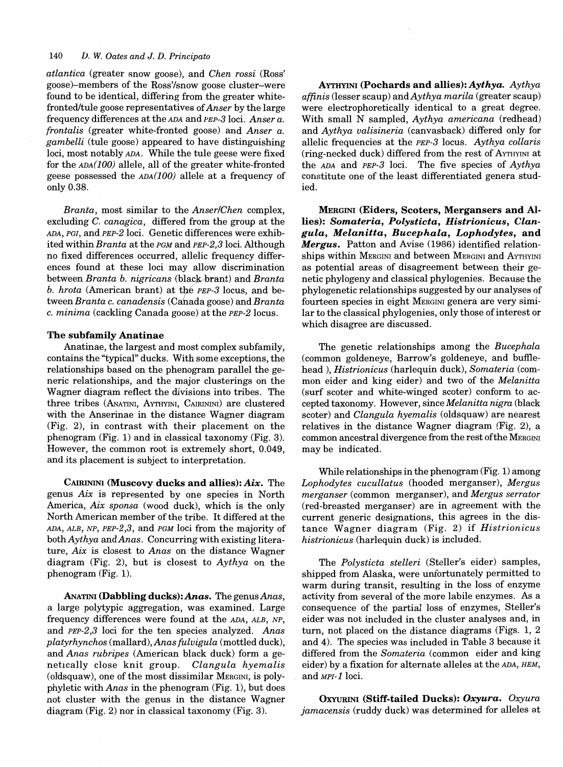*atlantica* (greater snow goose), and *Chen rossi* (Ross' goose)-members of the Ross'/snow goose cluster-were found to be identical, differing from the greater whitefronted/tule goose representatives of *Anser* by the large frequency differences at the ADA and PEP-3 loci. *Anser a. frontalis* (greater white-fronted goose) and *Anser a. gam belli* (tule goose) appeared to have distinguishing loci, most notably ADA. While the tule geese were fixed for the  $ADA(100)$  allele, all of the greater white-fronted geese possessed the  $ADA(100)$  allele at a frequency of only 0.38.

*Branta,* most similar to the *Anser/Chen* complex, excluding C. *canagica,* differed from the group at the ADA, PGI, and PEP-2 loci. Genetic differences were exhibited within *Branta* at the PGM and PEP-2,3 loci. Although no fixed differences occurred, allelic frequency differences found at these loci may allow discrimination between *Branta b. nigricans* (black-brant) and *Branta b. hrota* (American brant) at the PEP-3 locus, and between *Branta* c. *canadensis* (Cahada goose) and *Branta*  c. *minima* (cackling Canada goose) at the PEP-2 locus.

# The subfamily Anatinae

Anatinae, the largest and most complex subfamily, contains the "typical" ducks. With some exceptions, the relationships based on the phenogram parallel the generic relationships, and the major clusterings on the Wagner diagram reflect the divisions into tribes. The three tribes (ANATINI, AYTHYINI, CAIRININI) are clustered with the Anserinae in the distance Wagner diagram (Fig. 2), in contrast with their placement on the phenogram (Fig. 1) and in classical taxonomy (Fig. 3). However, the common root is extremely short, 0.049, and its placement is subject to interpretation.

CAIRININI (Muscovy ducks and allies): Aix. The genus *Aix* is represented by one species in North America, *Aix sponsa* (wood duck), which is the only North American member of the tribe. It differed at the ADA, ALB, NP, PEP-2,3, and PGM loci from the majority of both *Aythya* and *Anas.* Concurring with existing literature, *Aix* is closest to *Anas* on the distance Wagner diagram (Fig. 2), but is closest to *Aythya* on the phenogram (Fig. 1).

ANATINI (Dabbling ducks): *Anas.* The genus *Anas,*  a large polytypic aggregation, was examined. Large frequency differences were found at the ADA, ALB, NP, and PEP-2,3 loci for the ten species analyzed. *Anas platyrhynchos* (mallard), *Anas fulvigula* (mottled duck), and *Anas rubripes* (American black duck) form a genetically close knit group. *Clangula hyemalis*  (oldsquaw), one of the most dissimilar MERGINI, is polyphyletic with *Anas* in the phenogram (Fig. 1), but does not cluster with the genus in the distance Wagner diagram (Fig. 2) nor in classical taxonomy (Fig. 3).

AYTHYINI (Pochards and allies): *Aythya. Aythya affinis* (lesser scaup) *andAythya marila* (greater scaup) were electrophoretically identical to a great degree. With small N sampled, *Aythya americana* (redhead) and *Aythya valisineria* (canvasback) differed only for allelic frequencies at the PEP-3 locus. *Aythya collaris*  (ring-necked duck) differed from the rest of AYTHYINI at the ADA and PEP-3 loci. The five species of *Aythya*  constitute one of the least differentiated genera studied.

MERGINI (Eiders, Scoters, Mergansers and Allies): *Somateria, Polysticta, Histrionicus, Clangula, Melanitta, Bucephala, Lophodytes,* and *Mergus.* Patton and Avise (1986) identified relationships within MERGINI and between MERGINI and AYTHYINI as potential areas of disagreement between their genetic phylogeny and classical phylogenies. Because the phylogenetic relationships suggested by our analyses of fourteen species in eight MERGINI genera are very similar to the classical phylogenies, only those of interest or which disagree are discussed.

The genetic relationships among the *Bucephala*  (common goldeneye, Barrow's goldeneye, and bufflehead ), *Histrionicus* (harlequin duck), *Somateria* (common eider and king eider) and two of the *Melanitta*  (surf scoter and white-winged scoter) conform to accepted taxonomy. However, since *Melanitta nigra* (black scoter) and *Clangula hyemalis* (oldsquaw) are nearest relatives in the distance Wagner diagram (Fig. 2), a common ancestral divergence from the rest of the MERGINI may be indicated.

While relationships in the phenogram (Fig. 1) among *Lophodytes cucullatus* (hooded merganser), *Mergus merganser* (common merganser), and *Mergus serrator*  (red-breasted merganser) are in agreement with the current generic designations, this agrees in the distance Wagner diagram (Fig. 2) if *Histrionicus histrionicus* (harlequin duck) is included.

The *Polysticta stelleri* (Steller's eider) samples, shipped from Alaska, were unfortunately permitted to warm during transit, resulting in the loss of enzyme activity from several of the more labile enzymes. As a consequence of the partial loss of enzymes, Steller's eider was not included in the cluster analyses and, in turn, not placed on the distance diagrams (Figs. 1, 2 and 4). The species was included in Table 3 because it differed from the *Somateria* (common eider and king eider) by a fixation for alternate alleles at the ADA, HEM, and MPI-1 loci.

OXYURINI (Stiff-tailed Ducks): *Oxyura. Oxyura jamacensis* (ruddy duck) was determined for alleles at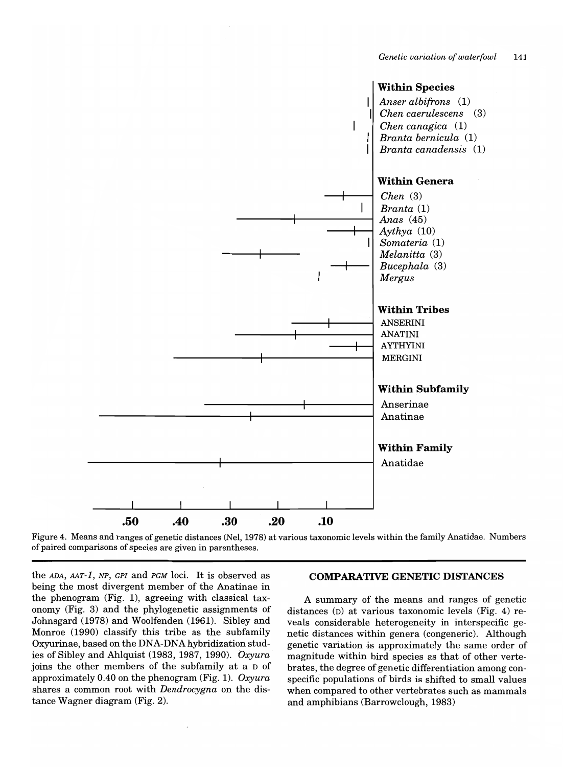

Figure 4. Means and ranges of genetic distances (Nel, 1978) at various taxonomic levels within the family Anatidae. Numbers of paired comparisons of species are given in parentheses.

the *ADA, AAT-l, NP, GPI* and *PGM* loci. It is observed as being the most divergent member of the Anatinae in the phenogram (Fig. 1), agreeing with classical taxonomy (Fig. 3) and the phylogenetic assignments of Johnsgard (1978) and Woolfenden (1961). Sibley and Monroe (1990) classify this tribe as the subfamily Oxyurinae, based on the DNA-DNA hybridization studies of Sibley and Ahlquist (1983, 1987, 1990). *Oxyura*  joins the other members of the subfamily at a D of approximately 0.40 on the phenogram (Fig. 1). *Oxyura*  shares a common root with *Dendrocygna* on the distance Wagner diagram (Fig. 2).

# **COMPARATIVE GENETIC DISTANCES**

A summary of the means and ranges of genetic distances (D) at various taxonomic levels (Fig. 4) reveals considerable heterogeneity in interspecific genetic distances within genera (congeneric). Although genetic variation is approximately the same order of magnitude within bird species as that of other vertebrates, the degree of genetic differentiation among conspecific populations of birds is shifted to small values when compared to other vertebrates such as mammals and amphibians (Barrowclough, 1983)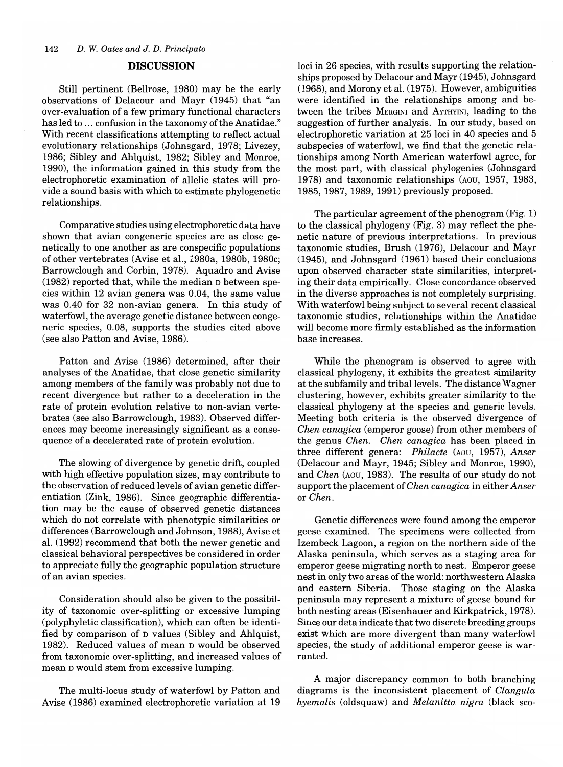### **DISCUSSION**

Still pertinent (Bellrose, 1980) may be the early observations of Delacour and Mayr (1945) that "an over-evaluation of a few primary functional characters has led to ... confusion in the taxonomy of the Anatidae." With recent classifications attempting to reflect actual evolutionary relationships (Johnsgard, 1978; Livezey, 1986; Sibley and Ahlquist, 1982; Sibley and Monroe, 1990), the information gained in this study from the electrophoretic examination of allelic states will provide a sound basis with which to estimate phylogenetic relationships.

Comparative studies using electrophoretic data have shown that avian congeneric species are as close genetically to one another as are conspecific populations of other vertebrates (Avise et aI., 1980a, 1980b, 1980c; Barrowclough and Corbin, 1978). Aquadro and Avise (1982) reported that, while the median D between species within 12 avian genera was 0.04, the same value was 0.40 for 32 non-avian genera. In this study of waterfowl, the average genetic distance between congeneric species, 0.08, supports the studies cited above (see also Patton and Avise, 1986).

Patton and Avise (1986) determined, after their analyses of the Anatidae, that close genetic similarity among members of the family was probably not due to recent divergence but rather to a deceleration in the rate of protein evolution relative to non-avian vertebrates (see also Barrowclough, 1983). Observed differences may become increasingly significant as a consequence of a decelerated rate of protein evolution.

The slowing of divergence by genetic drift, coupled with high effective population sizes, may contribute to the observation of reduced levels of avian genetic differentiation (Zink, 1986). Since geographic differentiation may be the cause of observed genetic distances which do not correlate with phenotypic similarities or differences (Barrowclough and Johnson, 1988), Avise et aI. (1992) recommend that both the newer genetic and classical behavioral perspectives be considered in order to appreciate fully the geographic population structure of an avian species.

Consideration should also be given to the possibility of taxonomic over-splitting or excessive lumping (polyphyletic classification), which can often be identified by comparison of D values (Sibley and Ahlquist, 1982). Reduced values of mean D would be observed from taxonomic over-splitting, and increased values of mean D would stem from excessive lumping.

The multi-locus study of waterfowl by Patton and Avise (1986) examined electrophoretic variation at 19

loci in 26 species, with results supporting the relationships proposed by Delacour and Mayr (1945), Johnsgard (1968), and Morony et aI. (1975). However, ambiguities were identified in the relationships among and between the tribes MERGINI and AYTHYINI, leading to the suggestion of further analysis. In our study, based on electrophoretic variation at 25 loci in 40 species and 5 subspecies of waterfowl, we find that the genetic relationships among North American waterfowl agree, for the most part, with classical phylogenies (Johnsgard 1978) and taxonomic relationships (AOU, 1957, 1983, 1985, 1987, 1989, 1991) previously proposed.

The particular agreement of the phenogram  $(Fig. 1)$ to the classical phylogeny (Fig. 3) may reflect the phenetic nature of previous interpretations. In previous taxonomic studies, Brush (1976), Delacour and Mayr (1945), and Johnsgard (1961) based their conclusions upon observed character state similarities, interpreting their data empirically. Close concordance observed in the diverse approaches is not completely surprising. With waterfowl being subject to several recent classical taxonomic studies, relationships within the Anatidae will become more firmly established as the information base increases.

While the phenogram is observed to agree with classical phylogeny, it exhibits the greatest similarity at the subfamily and tribal levels. The distance Wagner clustering, however, exhibits greater similarity to the classical phylogeny at the species and generic levels. Meeting both criteria is the observed divergence of *Chen canagica* (emperor goose) from other members of the genus *Chen. Chen canagica* has been placed in three different genera: *Philacte* (AOU, 1957), *Anser*  (Delacour and Mayr, 1945; Sibley and Monroe, 1990), and *Chen* (AOU, 1983). The results of our study do not support the placement of *Chen canagica* in either *Anser*  or *Chen.* 

Genetic differences were found among the emperor geese examined. The specimens were collected from Izembeck Lagoon, a region on the northern side of the Alaska peninsula, which serves as a staging area for emperor geese migrating north to nest. Emperor geese nest in only two areas of the world: northwestern Alaska and eastern Siberia. Those staging on the Alaska peninsula may represent a mixture of geese bound for both nesting areas (Eisenhauer and Kirkpatrick, 1978). Since our data indicate that two discrete breeding groups exist which are more divergent than many waterfowl species, the study of additional emperor geese is warranted.

A major discrepancy common to both branching diagrams is the inconsistent placement of *Clangula hyemalis* (oldsquaw) and *Melanitta nigra* (black sco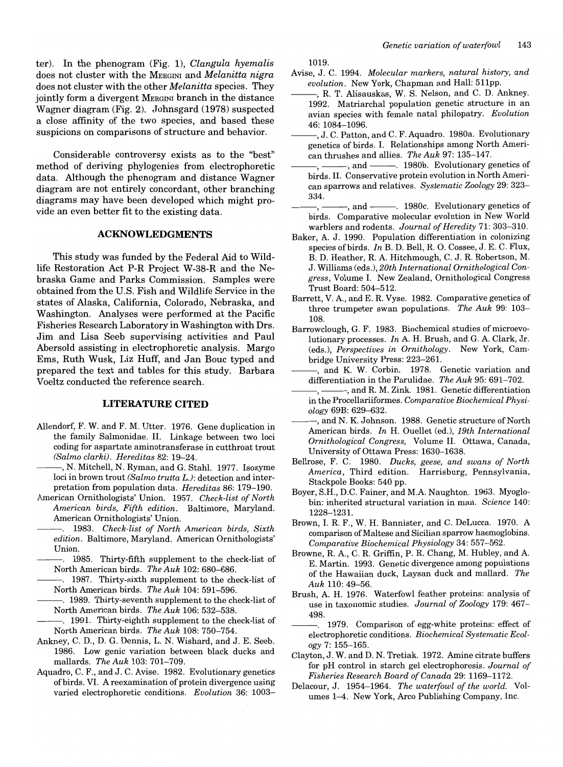ter). In the phenogram (Fig. 1), *Clangula hyemalis*  does not cluster with the MERGINI and *Melanitta nigra*  does not cluster with the other *Melanitta* species. They jointly form a divergent MERGINI branch in the distance Wagner diagram (Fig. 2). Johnsgard (1978) suspected a close affinity of the two species, and based these suspicions on comparisons of structure and behavior.

Considerable controversy exists as to the "best" method of deriving phylogenies from electrophoretic data. Although the phenogram and distance Wagner diagram are not entirely concordant, other branching diagrams may have been developed which might provide an even better fit to the existing data.

# **ACKNOWLEDGMENTS**

This study was funded by the Federal Aid to Wildlife Restoration Act P-R Project W-38-R and the Nebraska Game and Parks Commission. Samples were obtained from the U.S. Fish and Wildlife Service in the states of Alaska, California, Colorado, Nebraska, and Washington. Analyses were performed at the Pacific Fisheries Research Laboratory in Washington with Drs. Jim and Lisa Seeb supervising activities and Paul Abersold assisting in electrophoretic analysis. Margo Ems, Ruth Wusk, Liz Huff, and Jan Bouc typed and prepared the text and tables for this study. Barbara Voeltz conducted the reference search.

# **LITERATURE CITED**

- Allendorf, F. W. and F. M. Utter. 1976. Gene duplication in the family Salmonidae. II. Linkage between two loci coding for aspartate aminotransferase in cutthroat trout *(Salmo clarki). Hereditas* 82: 19-24.
- , N. Mitchell, N. Ryman, and G. Stahl. 1977. Isozyme loci in brown trout *(Salmo trutta* L.): detection and interpretation from population data. *Hereditas* 86: 179-190.
- American Ornithologists' Union. 1957. *Check-list of North American birds, Fifth edition.* Baltimore, Maryland. American Ornithologists' Union.
- *1983. Check-list of North American birds, Sixth edition.* Baltimore, Maryland. American Ornithologists' Union.
- 1985. Thirty-fifth supplement to the check-list of North American birds. *The Auk* 102: 680-686.
- 1987. Thirty-sixth supplement to the check-list of North American birds. *The Auk* 104: 591-596.
- -. 1989. Thirty-seventh supplement to the check-list of North American birds. *The Auk* 106: 532-538.
- --. 1991. Thirty-eighth supplement to the check-list of North American birds. *The Auk* 108: 750-754.
- Ankney, C. D., D. G. Dennis, L. N. Wishard, and J. E. Seeb. 1986. Low genic variation between black ducks and mallards. *The Auk* 103: 701-709.
- Aquadro, C. F., and J. C. Avise. 1982. Evolutionary genetics of birds. VI. A reexamination of protein divergence using varied electrophoretic conditions. *Evolution* 36: 1003-

1019.

- Avise, J. C. 1994. *Molecular markers, natural history, and evolution.* New York, Chapman and Hall: 511pp.
- -, R. T. Alisauskas, W. S. Nelson, and C. D. Ankney. 1992. Matriarchal population genetic structure in an avian species with female natal philopatry. *Evolution*  46: 1084-1096.
- -, J. C. Patton, and C. F. Aquadro. 1980a. Evolutionary genetics of birds. I. Relationships among North Amencan thrushes and allies. *The Auk* 97: 135-147.
- -, and ----- 1980b. Evolutionary genetics of birds. II. Conservative protein evolution in North American sparrows and relatives. *Systematic Zoology* 29: 323- 334.
- -, and -------. 1980c. Evolutionary genetics of birds. Comparative molecular evolution in New World warblers and rodents. *Journal of Heredity* 71: 303-310.
- Baker, A. J. 1990. Population differentiation in colonizing species of birds. *In* B. D. Bell, R. O. Cossee, J. E. C. Flux, B. D. Heather, R. A. Hitchmough, C. J. R. Robertson, M. J. Williams (eds.), *20th International Ornithological Congress,* Volume I. New Zealand, Ornithological Congress Trust Board: 504-512.
- Barrett, V. A., and E. R. Vyse. 1982. Comparative genetics of three trumpeter swan populations. *The Auk* 99: 103- 108.
- Barrowclough, G. F. 1983. Biochemical studies of microevolutionary processes. *In* A. H. Brush, and G. A. Clark, Jr. (eds.), *Perspectives in Ornithology.* New York, Cambridge University Press: 223-261.
- -, and K. W. Corbin. 1978. Genetic variation and differentiation in the Parulidae. *The Auk* 95: 691-702.
- $-$ , and R. M. Zink. 1981. Genetic differentiation in the Procellariiformes. *Comparative Biochemical Physiology* 69B: 629-632.
- -, and N. K. Johnson. 1988. Genetic structure of North American birds. *In* H. Ouellet (ed.), *19th International Ornithological Congress,* Volume II. Ottawa, Canada, University of Ottawa Press: 1630-1638.
- Bellrose, F. C. 1980. *Ducks, geese, and swans of North America,* Third edition. Harrisburg, Pennsylvania, Stackpole Books: 540 pp.
- Boyer, S.H., D.C. Fainer, and M.A. Naughton. 1963. Myoglobin: inherited structural variation in man. *Science 140:*  1228-1231.
- Brown, I. R. F., W. H. Bannister, and C. DeLucca. 1970. A comparison of Maltese and Sicilian sparrow haemoglobins. *Comparative Biochemical Physiology* 34: 557-562.
- Browne, R. A., C. R. Griffin, P. R. Chang, M. Hubley, and A. E. Martin. 1993. Genetic divergence among populations of the Hawaiian duck, Laysan duck and mallard. *The Auk* 110: 49-56.
- Brush, A. H. 1976. Waterfowl feather proteins: analysis of use in taxonomic studies. *Journal of Zoology* 179: 467- 498.
- -. 1979. Comparison of egg-white proteins: effect of electrophoretic conditions. *Biochemical Systematic Ecology* 7: 155-165.
- Clayton, J. W. and D. N. Tretiak. 1972. Amine citrate buffers for pH control in starch gel electrophoresis. *Journal of Fisheries Research Board of Canada* 29: 1169-1172.
- Delacour, J. 1954-1964. *The waterfowl of the world.* Volumes 1-4. New York, Arco Publishing Company, Inc.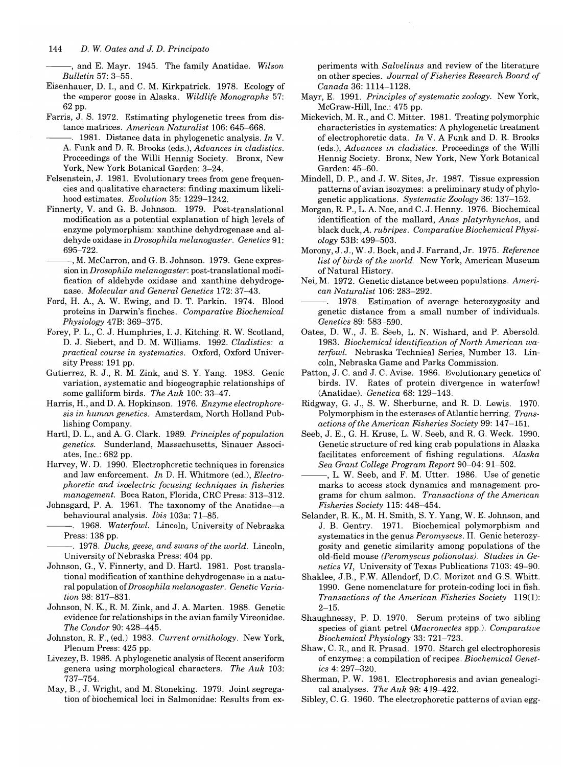--, and E. Mayr. 1945. The family Anatidae. *Wilson Bulletin* 57: 3-55.

- Eisenhauer, D. I., and C. M. Kirkpatrick. 1978. Ecology of the emperor goose in Alaska. *Wildlife Monographs 57:*  62 pp.
- Farris, J. S. 1972. Estimating phylogenetic trees from distance matrices. *American Naturalist* 106: 645-668.
- 1981. Distance data in phylogenetic analysis. *In* V. A. Funk and D. R. Brooks (eds.), *Advances in cladistics*. Proceedings of the Willi Hennig Society. Bronx, New York, New York Botanical Garden: 3-24.
- Felsenstein, J. 1981. Evolutionary trees from gene frequencies and qualitative characters: finding maximum likelihood estimates. *Evolution* 35: 1229-1242.
- Finnerty, V. and G. B. Johnson. 1979. Post-translational modification as a potential explanation of high levels of enzyme polymorphism: xanthine dehydrogenase and aldehyde oxidase in *Drosophila melanogaster. Genetics 91:*  695-722.

-, M. McCarron, and G. B. Johnson. 1979. Gene expression in *Drosophila melanogaster:* post-translational modification of aldehyde oxidase and xanthine dehydrogenase. *Molecular and General Genetics* 172: 37-43.

- Ford, H. A, A W. Ewing, and D. T. Parkin. 1974. Blood proteins in Darwin's finches. *Comparative Biochemical Physiology* 47B: 369-375.
- Forey, P. L., C. J. Humphries, I. J. Kitching, R. W. Scotland, D. J. Siebert, and D. M. Williams. 1992. *Cladistics: a practical course in systematics.* Oxford, Oxford University Press: 191 pp.
- Gutierrez, R. J., R. M. Zink, and S. Y. Yang. 1983. Genic variation, systematic and biogeographic relationships of some galliform birds. *The Auk* 100: 33-47.
- Harris, H., and D. A Hopkinson. 1976. *Enzyme electrophoresis in human genetics.* Amsterdam, North Holland Publishing Company.
- Hartl, D. L., and A. G. Clark. 1989. *Principles of population genetics.* Sunderland, Massachusetts, Sinauer Associates, Inc.: 682 pp.
- Harvey, W. D. 1990. Electrophoretic techniques in forensics and law enforcement. *In* D. H. Whitmore (ed.), *Electrophoretic and isoelectric focusing techniques in fisheries management.* Boca Raton, Florida, CRC Press: 313-312.
- Johnsgard, P. A. 1961. The taxonomy of the Anatidae-a behavioural analysis. *Ibis* 103a: 71-85.

---. 1968. *Waterfowl.* Lincoln, University of Nebraska Press: 138 pp.

1978. *Ducks, geese, and swans of the world.* Lincoln, University of Nebraska Press: 404 pp.

- Johnson, G., V. Finnerty, and D. Hartl. 1981. Post translational modification of xanthine dehydrogenase in a natural population of *Drosophila melanogaster. Genetic Variation* 98: 817-831.
- Johnson, N. K, R. M. Zink, and J. A Marten. 1988. Genetic evidence for relationships in the avian family Vireonidae. *The Condor* 90: 428-445.
- Johnston, R F., (ed.) 1983. *Current ornithology.* New York, Plenum Press: 425 pp.
- Livezey, B. 1986. A phylogenetic analysis of Recent anseriform genera using morphological characters. *The Auk 103:*  737-754.
- May, B., J. Wright, and M. Stoneking. 1979. Joint segregation of biochemical loci in Salmonidae: Results from ex-

periments with *Salvelinus* and review of the literature on other species. *Journal of Fisheries Research Board of Canada* 36: 1114-1128.

- Mayr, E. 1991. *Principles of systematic zoology.* New York, McGraw-Hill, Inc.: 475 pp.
- Mickevich, M. R, and C. Mitter. 1981. Treating polymorphic characteristics in systematics: A phylogenetic treatment of electrophoretic data. *In* V. A Funk and D. R. Brooks (eds.), *Advances in cladistics.* Proceedings of the Willi Hennig Society. Bronx, New York, New York Botanical Garden: 45-60.
- Mindell, D. P., and J. W. Sites, Jr. 1987. Tissue expression patterns of avian isozymes: a preliminary study of phylogenetic applications. *Systematic Zoology* 36: 137-152.
- Morgan, R. P., L. A. Noe, and C. J. Henny. 1976. Biochemical identification of the mallard, *Anas platyrhynchos,* and black duck, A. *rubripes. Comparative Biochemical Physiology* 53B: 499-503.
- Morony, J. J., W. J. Bock, and J. Farrand, Jr. 1975. *Reference list of birds of the world.* New York, American Museum of Natural History.
- Nei, M. 1972. Genetic distance between populations. *American Naturalist* 106: 283-292.
- 1978. Estimation of average heterozygosity and genetic distance from a small number of individuals. *Genetics* 89: 583-590.
- Oates, D. W., J. E. Seeb, L. N. Wishard, and P. Abersold. *1983. Biochemical identification of North American waterfowl.* Nebraska Technical Series, Number 13. Lincoln, Nebraska Game and Parks Commission.
- Patton, J. C. and J. C. Avise. 1986. Evolutionary genetics of birds. IV. Rates of protein divergence in waterfowl (Anatidae). *Genetica* 68: 129-143.
- Ridgway, G. J., S. W. Sherburne, and R. D. Lewis. 1970. Polymorphism in the esterases of Atlantic herring. *Transactions of the American Fisheries Society* 99: 147-151.
- Seeb, J. E., G. H. Kruse, L. W. Seeb, and R. G. Weck. 1990. Genetic structure of red king crab populations in Alaska facilitates enforcement of fishing regulations. *Alaska Sea Grant College Program Report* 90-04: 91-502.
- , L. W. Seeb, and F. M. Utter. 1986. Use of genetic marks to access stock dynamics and management programs for chum salmon. *Transactions of the American Fisheries Society* 115: 448-454.
- Selander, R. K., M. H. Smith, S. Y. Yang, W. E. Johnson, and J. B. Gentry. 1971. Biochemical polymorphism and systematics in the genus *Peromyscus.* II. Genic heterozygosity and genetic similarity among populations of the old-field mouse *(Peromyscus polionotus). Studies in Genetics VI,* University of Texas Publications 7103: 49-90.
- Shaklee, J.B., F.W. Allendorf, D.C. Morizot and G.S. Whitt. 1990. Gene nomenclature for protein-coding loci in fish. *Transactions of the American Fisheries Society 119(1):*   $2 - 15$ .
- Shaughnessy, P. D. 1970. Serum proteins of two sibling species of giant petrel *(Macronectes* spp.). *Comparative Biochemical Physiology* 33: 721-723.
- Shaw, C. R., and R. Prasad. 1970. Starch gel electrophoresis of enzymes: a compilation of recipes. *Biochemical Genetics* 4: 297-320.
- Sherman, P. W. 1981. Electrophoresis and avian genealogical analyses. *The Auk* 98: 419-422.
- Sibley, C. G. 1960. The electrophoretic patterns of avian egg-